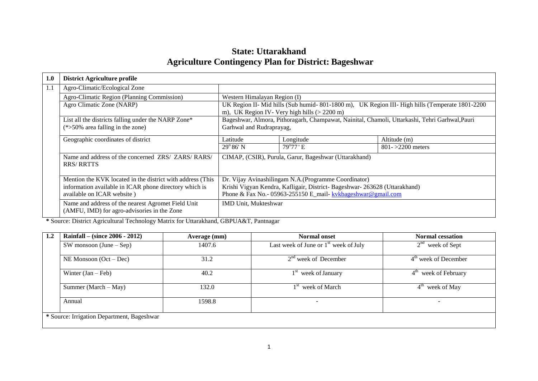# **State: Uttarakhand Agriculture Contingency Plan for District: Bageshwar**

| 1.0 | <b>District Agriculture profile</b>                        |                                                                                                |                                                                            |                     |  |  |
|-----|------------------------------------------------------------|------------------------------------------------------------------------------------------------|----------------------------------------------------------------------------|---------------------|--|--|
| 1.1 | Agro-Climatic/Ecological Zone                              |                                                                                                |                                                                            |                     |  |  |
|     | Agro-Climatic Region (Planning Commission)                 | Western Himalayan Region (I)                                                                   |                                                                            |                     |  |  |
|     | Agro Climatic Zone (NARP)                                  | UK Region II- Mid hills (Sub humid-801-1800 m), UK Region III- High hills (Temperate 1801-2200 |                                                                            |                     |  |  |
|     |                                                            |                                                                                                | m), UK Region IV- Very high hills $(> 2200 \text{ m})$                     |                     |  |  |
|     | List all the districts falling under the NARP Zone*        | Bageshwar, Almora, Pithoragarh, Champawat, Nainital, Chamoli, Uttarkashi, Tehri Garhwal, Pauri |                                                                            |                     |  |  |
|     | $(*>50\%$ area falling in the zone)                        | Garhwal and Rudraprayag,                                                                       |                                                                            |                     |  |  |
|     |                                                            |                                                                                                |                                                                            |                     |  |  |
|     | Geographic coordinates of district                         | Latitude                                                                                       | Longitude                                                                  | Altitude (m)        |  |  |
|     |                                                            | $29^{\circ}86'$ N                                                                              | $79^{\circ}77$ 'E                                                          | $801 - 2200$ meters |  |  |
|     | Name and address of the concerned ZRS/ ZARS/ RARS/         |                                                                                                | CIMAP, (CSIR), Purula, Garur, Bageshwar (Uttarakhand)                      |                     |  |  |
|     | <b>RRS/RRTTS</b>                                           |                                                                                                |                                                                            |                     |  |  |
|     |                                                            |                                                                                                |                                                                            |                     |  |  |
|     | Mention the KVK located in the district with address (This |                                                                                                | Dr. Vijay Avinashilingam N.A. (Programme Coordinator)                      |                     |  |  |
|     | information available in ICAR phone directory which is     |                                                                                                | Krishi Vigyan Kendra, Kafligair, District- Bageshwar- 263628 (Uttarakhand) |                     |  |  |
|     | available on ICAR website)                                 | Phone & Fax No.- 05963-255150 E_mail- kvkbageshwar@gmail.com                                   |                                                                            |                     |  |  |
|     | Name and address of the nearest Agromet Field Unit         | IMD Unit, Mukteshwar                                                                           |                                                                            |                     |  |  |
|     | (AMFU, IMD) for agro-advisories in the Zone                |                                                                                                |                                                                            |                     |  |  |

**\*** Source: District Agricultural Technology Matrix for Uttarakhand, GBPUA&T, Pantnagar

| 1.2 | Rainfall – (since $2006 - 2012$ )<br>Average (mm) |                                         | Normal onset                            | <b>Normal cessation</b> |  |  |  |
|-----|---------------------------------------------------|-----------------------------------------|-----------------------------------------|-------------------------|--|--|--|
|     | $SW$ monsoon (June – Sep)                         | 1407.6                                  | Last week of June or $1st$ week of July | $2nd$ week of Sept      |  |  |  |
|     | NE Monsoon $(Oct - Dec)$                          | 31.2                                    | $2nd$ week of December                  | $4th$ week of December  |  |  |  |
|     | Winter $(Jan - Feb)$                              | 1 <sup>st</sup> week of January<br>40.2 |                                         | $4th$ week of February  |  |  |  |
|     | Summer (March $-$ May)                            | 132.0                                   | 1 <sup>st</sup> week of March           | $4th$ week of May       |  |  |  |
|     | Annual                                            | 1598.8                                  |                                         | -                       |  |  |  |
|     | * Source: Irrigation Department, Bageshwar        |                                         |                                         |                         |  |  |  |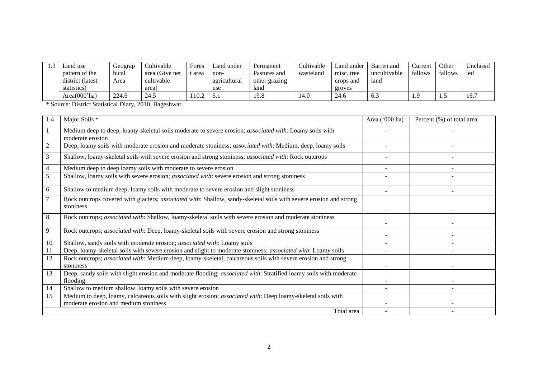| Land use         | Geograp | Cultivable     | Fores | ∟and under   | Permanent     | Cultivable | Land under | Barren and   | ∠urrent | Other   | Jnclassif |
|------------------|---------|----------------|-------|--------------|---------------|------------|------------|--------------|---------|---------|-----------|
| pattern of the   | hical   | area (Give net | area  | non-         | Pastures and  | wasteland  | misc. tree | uncultivable | fallows | fallows | ied       |
| district (latest | Area    | cultivable     |       | agricultural | other grazing |            | crops and  | land         |         |         |           |
| statistics)      |         | area)          |       | use          | land          |            | groves     |              |         |         |           |
| Area(000'ha)     | 224.6   | 24.5           | 10.2  | ◡.           | 19.8          | 14.0       | 24.6       | V.C          |         | .       | 16.7      |

\* Source: District Statistical Diary, 2010, Bageshwar

| 1.4            | Major Soils *                                                                                                                   | Area ('000 ha)           | Percent (%) of total area |
|----------------|---------------------------------------------------------------------------------------------------------------------------------|--------------------------|---------------------------|
|                | Medium deep to deep, loamy-skeletal soils moderate to severe erosion; associated with: Loamy soils with<br>moderate erosion     |                          |                           |
| $\overline{c}$ | Deep, loamy soils with moderate erosion and moderate stoniness; <i>associated with</i> : Medium, deep, loamy soils              |                          |                           |
| 3              | Shallow, loamy-skeletal soils with severe erosion and strong stoniness; associated with: Rock outcrops                          |                          |                           |
| 4              | Medium deep to deep loamy soils with moderate to severe erosion                                                                 | $\overline{\phantom{a}}$ |                           |
| 5              | Shallow, loamy soils with severe erosion; associated with: severe erosion and strong stoniness                                  |                          |                           |
| 6              | Shallow to medium deep, loamy soils with moderate to severe erosion and slight stoniness                                        |                          |                           |
| $\overline{7}$ | Rock outcrops covered with glaciers; associated with: Shallow, sandy-skeletal soils with severe erosion and strong<br>stoniness |                          |                           |
| 8              | Rock outcrops; associated with: Shallow, loamy-skeletal soils with severe erosion and moderate stoniness                        |                          |                           |
| 9              | Rock outcrops; <i>associated with</i> : Deep, loamy-skeletal soils with severe erosion and strong stoniness                     |                          |                           |
| 10             | Shallow, sandy soils with moderate erosion; associated with: Loamy soils                                                        |                          |                           |
| 11             | Deep, loamy-skeletal soils with severe erosion and slight to moderate stoniness; associated with: Loamy soils                   |                          |                           |
| 12             | Rock outcrops; associated with: Medium deep, loamy-skeletal, calcareous soils with severe erosion and strong<br>stoniness       |                          |                           |
| 13             | Deep, sandy soils with slight erosion and moderate flooding; associated with: Stratified loamy soils with moderate<br>flooding  |                          |                           |
| 14             | Shallow to medium shallow, loamy soils with severe erosion                                                                      |                          |                           |
| 15             | Medium to deep, loamy, calcareous soils with slight erosion; associated with: Deep loamy-skeletal soils with                    |                          |                           |
|                | moderate erosion and medium stoniness                                                                                           |                          |                           |
|                | Total area                                                                                                                      |                          |                           |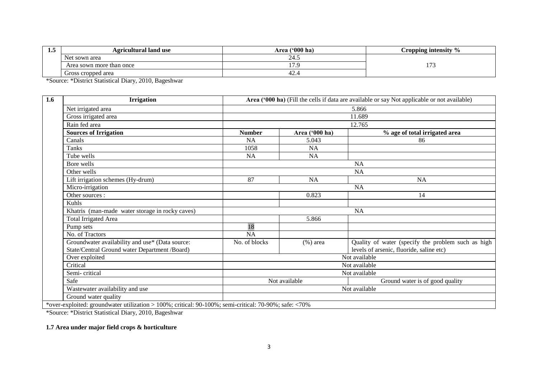| ⊥•~ | <b>Agricultural land use</b> | Area ('000 ha) | Cropping intensity %  |
|-----|------------------------------|----------------|-----------------------|
|     | Net sown area                | ∠−⊷            |                       |
|     | Area sown more than once     | $\overline{ }$ | $\sim$<br><u>11</u> – |
|     | Gross cropped area           | 44.            |                       |

\*Source: \*District Statistical Diary, 2010, Bageshwar

| 1.6 | <b>Irrigation</b>                                                                                     |               |                | Area ('000 ha) (Fill the cells if data are available or say Not applicable or not available) |  |  |
|-----|-------------------------------------------------------------------------------------------------------|---------------|----------------|----------------------------------------------------------------------------------------------|--|--|
|     | Net irrigated area                                                                                    |               |                | 5.866                                                                                        |  |  |
|     | Gross irrigated area                                                                                  |               |                | 11.689                                                                                       |  |  |
|     | Rain fed area                                                                                         |               |                | 12.765                                                                                       |  |  |
|     | <b>Sources of Irrigation</b>                                                                          | <b>Number</b> | Area ('000 ha) | % age of total irrigated area                                                                |  |  |
|     | Canals                                                                                                | <b>NA</b>     | 5.043          | 86                                                                                           |  |  |
|     | <b>Tanks</b>                                                                                          | 1058          | <b>NA</b>      |                                                                                              |  |  |
|     | Tube wells                                                                                            | <b>NA</b>     | <b>NA</b>      |                                                                                              |  |  |
|     | Bore wells                                                                                            |               | <b>NA</b>      |                                                                                              |  |  |
|     | Other wells                                                                                           | <b>NA</b>     |                |                                                                                              |  |  |
|     | Lift irrigation schemes (Hy-drum)                                                                     | 87            | <b>NA</b>      | <b>NA</b>                                                                                    |  |  |
|     | Micro-irrigation                                                                                      | <b>NA</b>     |                |                                                                                              |  |  |
|     | Other sources:                                                                                        |               | 0.823          | 14                                                                                           |  |  |
|     | Kuhls                                                                                                 |               |                |                                                                                              |  |  |
|     | Khatris (man-made water storage in rocky caves)                                                       |               |                | <b>NA</b>                                                                                    |  |  |
|     | <b>Total Irrigated Area</b>                                                                           |               | 5.866          |                                                                                              |  |  |
|     | Pump sets                                                                                             | 18            |                |                                                                                              |  |  |
|     | No. of Tractors                                                                                       | <b>NA</b>     |                |                                                                                              |  |  |
|     | Groundwater availability and use* (Data source:                                                       | No. of blocks | $(\%)$ area    | Quality of water (specify the problem such as high                                           |  |  |
|     | State/Central Ground water Department /Board)                                                         |               |                | levels of arsenic, fluoride, saline etc)                                                     |  |  |
|     | Over exploited                                                                                        |               |                | Not available                                                                                |  |  |
|     | Critical                                                                                              |               |                | Not available                                                                                |  |  |
|     | Semi-critical                                                                                         | Not available |                |                                                                                              |  |  |
|     | Safe                                                                                                  |               | Not available  | Ground water is of good quality                                                              |  |  |
|     | Wastewater availability and use                                                                       | Not available |                |                                                                                              |  |  |
|     | Ground water quality                                                                                  |               |                |                                                                                              |  |  |
|     | *over-exploited: groundwater utilization > 100%; critical: 90-100%; semi-critical: 70-90%; safe: <70% |               |                |                                                                                              |  |  |

\*Source: \*District Statistical Diary, 2010, Bageshwar

# **1.7 Area under major field crops & horticulture**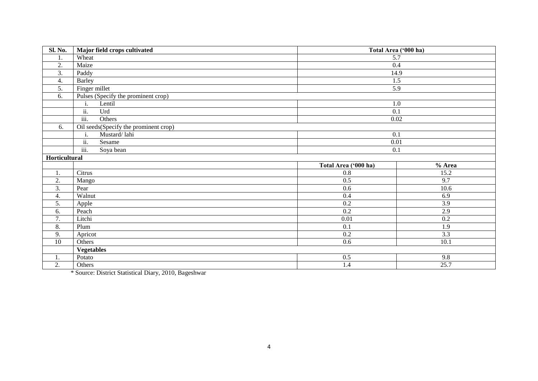| <b>Sl. No.</b>   | Major field crops cultivated           | Total Area ('000 ha) |                  |  |  |
|------------------|----------------------------------------|----------------------|------------------|--|--|
| 1.               | Wheat                                  | $\overline{5.7}$     |                  |  |  |
| 2.               | Maize                                  | 0.4                  |                  |  |  |
| 3.               | Paddy                                  |                      | 14.9             |  |  |
| 4.               | <b>Barley</b>                          |                      | 1.5              |  |  |
| 5.               | Finger millet                          |                      | 5.9              |  |  |
| 6.               | Pulses (Specify the prominent crop)    |                      |                  |  |  |
|                  | Lentil<br>i.                           |                      | 1.0              |  |  |
|                  | ii.<br>Urd                             | $\overline{0.1}$     |                  |  |  |
|                  | iii.<br>Others                         |                      | $0.02\,$         |  |  |
| 6.               | Oil seeds (Specify the prominent crop) |                      |                  |  |  |
|                  | Mustard/lahi<br>$\mathbf{i}$ .         | 0.1                  |                  |  |  |
|                  | ii.<br>Sesame                          | 0.01                 |                  |  |  |
|                  | $\overline{\text{iii}}$ .<br>Soya bean | 0.1                  |                  |  |  |
| Horticultural    |                                        |                      |                  |  |  |
|                  |                                        | Total Area ('000 ha) | % Area           |  |  |
| 1.               | Citrus                                 | 0.8                  | 15.2             |  |  |
| 2.               | Mango                                  | 0.5                  | 9.7              |  |  |
| 3.               | Pear                                   | 0.6                  | 10.6             |  |  |
| 4.               | Walnut                                 | $0.4\,$              | 6.9              |  |  |
| 5.               | Apple                                  | 0.2                  | 3.9              |  |  |
| 6.               | Peach                                  | 0.2                  | 2.9              |  |  |
| $\overline{7}$ . | Litchi                                 | $\overline{0.01}$    | $\overline{0.2}$ |  |  |
| 8.               | Plum                                   | 0.1                  | 1.9              |  |  |
| 9.               | Apricot                                | 0.2                  | 3.3              |  |  |
| 10               | Others                                 | 0.6                  | 10.1             |  |  |
|                  | <b>Vegetables</b>                      |                      |                  |  |  |
| 1.               | Potato                                 | 0.5                  | 9.8              |  |  |
| 2.               | Others                                 | 1.4                  | 25.7             |  |  |

\* Source: District Statistical Diary, 2010, Bageshwar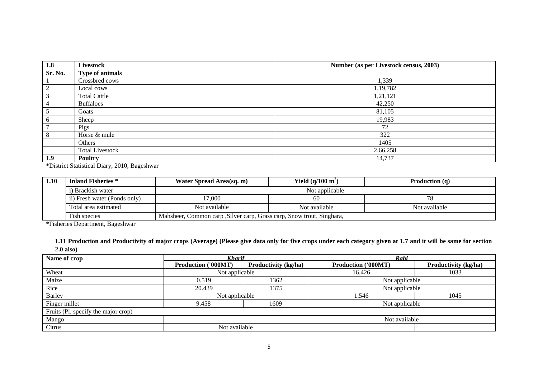| 1.8<br>Livestock |                        | Number (as per Livestock census, 2003) |
|------------------|------------------------|----------------------------------------|
| Sr. No.          | <b>Type of animals</b> |                                        |
|                  | Crossbred cows         | 1,339                                  |
|                  | Local cows             | 1,19,782                               |
|                  | <b>Total Cattle</b>    | 1,21,121                               |
|                  | <b>Buffaloes</b>       | 42,250                                 |
|                  | Goats                  | 81,105                                 |
|                  | Sheep                  | 19,983                                 |
|                  | Pigs                   | 72                                     |
| 8                | Horse & mule           | 322                                    |
|                  | Others                 | 1405                                   |
|                  | <b>Total Livestock</b> | 2,66,258                               |
| 1.9              | <b>Poultry</b>         | 14,737                                 |

\*District Statistical Diary, 2010, Bageshwar

| 1.10 | <b>Inland Fisheries</b> *    | Yield $(q/100 \text{ m}^2)$<br>Water Spread Area(sq. m)                                                                   |    | <b>Production</b> $(q)$ |  |  |  |
|------|------------------------------|---------------------------------------------------------------------------------------------------------------------------|----|-------------------------|--|--|--|
|      | i) Brackish water            | Not applicable                                                                                                            |    |                         |  |  |  |
|      | ii) Fresh water (Ponds only) | 17,000                                                                                                                    | 60 |                         |  |  |  |
|      | Total area estimated         | Not available<br>Not available<br>Not available<br>Mahsheer, Common carp , Silver carp, Grass carp, Snow trout, Singhara, |    |                         |  |  |  |
|      | Fish species                 |                                                                                                                           |    |                         |  |  |  |

\*Fisheries Department, Bageshwar

**1.11 Production and Productivity of major crops (Average) (Please give data only for five crops under each category given at 1.7 and it will be same for section 2.0 also)**

| Name of crop                        | <b>Kharif</b>              |                             | Rabi                |                             |  |  |  |
|-------------------------------------|----------------------------|-----------------------------|---------------------|-----------------------------|--|--|--|
|                                     | <b>Production ('000MT)</b> | <b>Productivity (kg/ha)</b> | Production ('000MT) | <b>Productivity (kg/ha)</b> |  |  |  |
| Wheat                               | Not applicable             |                             | 16.426              | 1033                        |  |  |  |
| Maize                               | 0.519                      | 1362                        | Not applicable      |                             |  |  |  |
| Rice                                | 20.439                     | 1375                        | Not applicable      |                             |  |  |  |
| <b>Barley</b>                       | Not applicable             |                             | 1.546               | 1045                        |  |  |  |
| Finger millet                       | 9.458                      | 1609                        | Not applicable      |                             |  |  |  |
| Fruits (Pl. specify the major crop) |                            |                             |                     |                             |  |  |  |
| Mango                               |                            |                             | Not available       |                             |  |  |  |
| Citrus                              | Not available              |                             |                     |                             |  |  |  |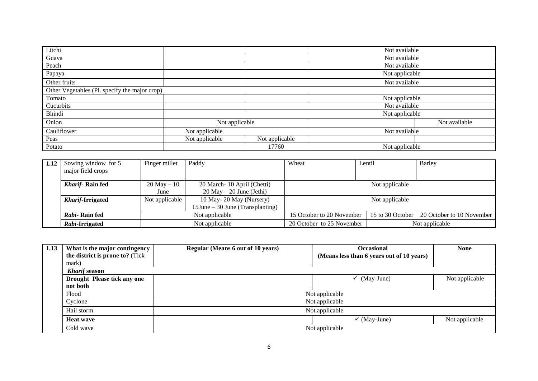| Litchi                                        |                |                | Not available  |  |  |  |  |
|-----------------------------------------------|----------------|----------------|----------------|--|--|--|--|
| Guava                                         |                |                | Not available  |  |  |  |  |
| Peach                                         |                |                | Not available  |  |  |  |  |
| Papaya                                        |                |                | Not applicable |  |  |  |  |
| Other fruits                                  |                |                | Not available  |  |  |  |  |
| Other Vegetables (Pl. specify the major crop) |                |                |                |  |  |  |  |
| Tomato                                        |                |                | Not applicable |  |  |  |  |
| Cucurbits                                     |                |                | Not available  |  |  |  |  |
| Bhindi                                        |                |                | Not applicable |  |  |  |  |
| Onion                                         | Not applicable |                | Not available  |  |  |  |  |
| Cauliflower                                   | Not applicable |                | Not available  |  |  |  |  |
| Peas                                          | Not applicable | Not applicable |                |  |  |  |  |
| Potato                                        |                | 17760          | Not applicable |  |  |  |  |

| 1.12 Sowing window for $5$ | Finger millet<br>Paddy                       |                                     | Wheat                                         | Lentil | Barley                    |  |
|----------------------------|----------------------------------------------|-------------------------------------|-----------------------------------------------|--------|---------------------------|--|
| major field crops          |                                              |                                     |                                               |        |                           |  |
|                            |                                              |                                     |                                               |        |                           |  |
| <b>Kharif-Rain fed</b>     | $20$ May $-10$<br>20 March-10 April (Chetti) |                                     | Not applicable                                |        |                           |  |
|                            | $20$ May $- 20$ June (Jethi)<br>June         |                                     |                                               |        |                           |  |
| <b>Kharif-Irrigated</b>    | Not applicable<br>10 May-20 May (Nursery)    |                                     | Not applicable                                |        |                           |  |
|                            |                                              | $15$ June – 30 June (Transplanting) |                                               |        |                           |  |
| Rabi-Rain fed              | Not applicable                               |                                     | 15 to 30 October<br>15 October to 20 November |        | 20 October to 10 November |  |
| Rabi-Irrigated             | Not applicable                               |                                     | 20 October to 25 November<br>Not applicable   |        |                           |  |

| 1.13 | What is the major contingency   | <b>Regular (Means 6 out of 10 years)</b> | <b>Occasional</b>                         | <b>None</b>    |  |  |  |
|------|---------------------------------|------------------------------------------|-------------------------------------------|----------------|--|--|--|
|      | the district is prone to? (Tick |                                          | (Means less than 6 years out of 10 years) |                |  |  |  |
|      | mark)                           |                                          |                                           |                |  |  |  |
|      | <b>Kharif</b> season            |                                          |                                           |                |  |  |  |
|      | Drought Please tick any one     |                                          | (May-June)                                | Not applicable |  |  |  |
|      | not both                        |                                          |                                           |                |  |  |  |
|      | Flood                           | Not applicable                           |                                           |                |  |  |  |
|      | Cyclone                         | Not applicable                           |                                           |                |  |  |  |
|      | Hail storm                      | Not applicable                           |                                           |                |  |  |  |
|      | <b>Heat wave</b>                |                                          | $\checkmark$ (May-June)                   | Not applicable |  |  |  |
|      | Cold wave                       |                                          | Not applicable                            |                |  |  |  |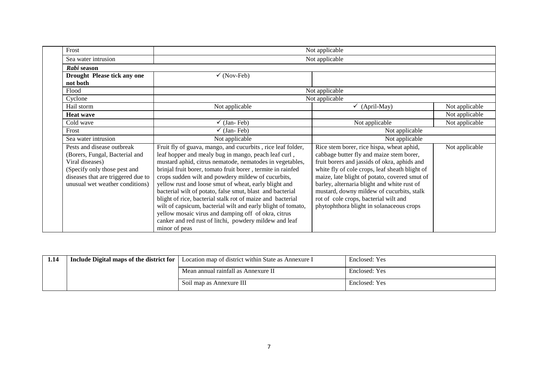| Frost                              | Not applicable                                               |                                                |                |  |  |  |
|------------------------------------|--------------------------------------------------------------|------------------------------------------------|----------------|--|--|--|
| Sea water intrusion                |                                                              | Not applicable                                 |                |  |  |  |
| Rabi season                        |                                                              |                                                |                |  |  |  |
| Drought Please tick any one        | $\checkmark$ (Nov-Feb)                                       |                                                |                |  |  |  |
| not both                           |                                                              |                                                |                |  |  |  |
| Flood                              |                                                              | Not applicable                                 |                |  |  |  |
| Cyclone                            |                                                              | Not applicable                                 |                |  |  |  |
| Hail storm                         | Not applicable                                               | (April-May)<br>✓                               | Not applicable |  |  |  |
| <b>Heat wave</b>                   |                                                              |                                                | Not applicable |  |  |  |
| Cold wave                          | $\checkmark$ (Jan-Feb)                                       | Not applicable                                 | Not applicable |  |  |  |
| Frost                              | $\checkmark$ (Jan-Feb)                                       | Not applicable                                 |                |  |  |  |
| Sea water intrusion                | Not applicable                                               | Not applicable                                 |                |  |  |  |
| Pests and disease outbreak         | Fruit fly of guava, mango, and cucurbits, rice leaf folder,  | Rice stem borer, rice hispa, wheat aphid,      | Not applicable |  |  |  |
| (Borers, Fungal, Bacterial and     | leaf hopper and mealy bug in mango, peach leaf curl,         | cabbage butter fly and maize stem borer,       |                |  |  |  |
| Viral diseases)                    | mustard aphid, citrus nematode, nematodes in vegetables,     | fruit borers and jassids of okra, aphids and   |                |  |  |  |
| (Specify only those pest and       | brinjal fruit borer, tomato fruit borer, termite in rainfed  | white fly of cole crops, leaf sheath blight of |                |  |  |  |
| diseases that are triggered due to | crops sudden wilt and powdery mildew of cucurbits,           | maize, late blight of potato, covered smut of  |                |  |  |  |
| unusual wet weather conditions)    | yellow rust and loose smut of wheat, early blight and        | barley, alternaria blight and white rust of    |                |  |  |  |
|                                    | bacterial wilt of potato, false smut, blast and bacterial    | mustard, downy mildew of cucurbits, stalk      |                |  |  |  |
|                                    | blight of rice, bacterial stalk rot of maize and bacterial   | rot of cole crops, bacterial wilt and          |                |  |  |  |
|                                    | wilt of capsicum, bacterial wilt and early blight of tomato, | phytophthora blight in solanaceous crops       |                |  |  |  |
|                                    | yellow mosaic virus and damping off of okra, citrus          |                                                |                |  |  |  |
|                                    | canker and red rust of litchi, powdery mildew and leaf       |                                                |                |  |  |  |
|                                    | minor of peas                                                |                                                |                |  |  |  |

| 1.14 | Include Digital maps of the district for $\vert$ Location map of district within State as Annexure I | Enclosed: Yes |
|------|------------------------------------------------------------------------------------------------------|---------------|
|      | Mean annual rainfall as Annexure II                                                                  | Enclosed: Yes |
|      | Soil map as Annexure III                                                                             | Enclosed: Yes |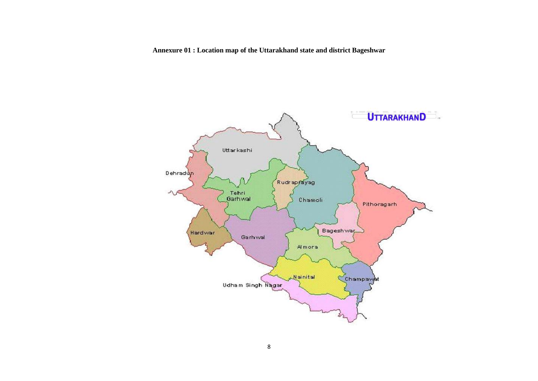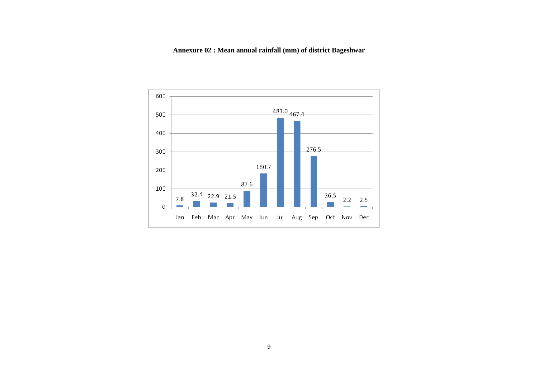# **Annexure 02 : Mean annual rainfall (mm) of district Bageshwar**

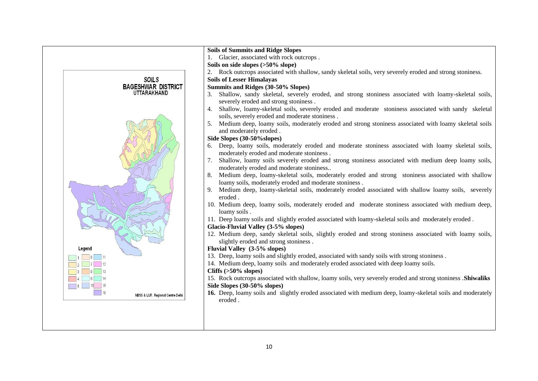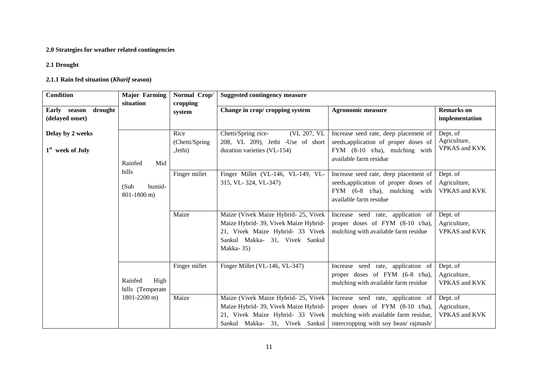# **2.0 Strategies for weather related contingencies**

#### **2.1 Drought**

# **2.1.1 Rain fed situation (***Kharif* **season)**

| <b>Condition</b>             | <b>Major Farming</b> | Normal Crop/   | <b>Suggested contingency measure</b>  |                                            |                             |
|------------------------------|----------------------|----------------|---------------------------------------|--------------------------------------------|-----------------------------|
|                              | situation            | cropping       |                                       |                                            |                             |
| Early<br>drought<br>season   |                      | system         | Change in crop/ cropping system       | <b>Agronomic measure</b>                   | <b>Remarks</b> on           |
| (delayed onset)              |                      |                |                                       |                                            | implementation              |
| Delay by 2 weeks             |                      | Rice           | (VL 207, VL<br>Chetti/Spring rice-    | Increase seed rate, deep placement of      | Dept. of                    |
|                              |                      | (Chetti/Spring | 208, VL 209), Jethi -Use of short     | seeds, application of proper doses of      | Agriculture,                |
| 1 <sup>st</sup> week of July |                      | Jethi)         | duration varieties (VL-154)           | FYM $(8-10 \text{ t/ha})$ , mulching with  | <b>VPKAS</b> and KVK        |
|                              |                      |                |                                       | available farm residue                     |                             |
|                              | Rainfed<br>Mid       |                |                                       |                                            |                             |
|                              | hills                | Finger millet  | Finger Millet (VL-146, VL-149, VL-    | Increase seed rate, deep placement of      | Dept. of                    |
|                              |                      |                | 315, VL-324, VL-347)                  | seeds, application of proper doses of      | Agriculture,                |
|                              | (Sub<br>humid-       |                |                                       | FYM $(6-8 \t t/ha)$ , mulching with        | <b>VPKAS</b> and <b>KVK</b> |
|                              | 801-1800 m)          |                |                                       | available farm residue                     |                             |
|                              |                      |                |                                       |                                            |                             |
|                              |                      | Maize          | Maize (Vivek Maize Hybrid- 25, Vivek  | Increase seed rate, application of         | Dept. of                    |
|                              |                      |                | Maize Hybrid- 39, Vivek Maize Hybrid- | proper doses of FYM (8-10 t/ha),           | Agriculture,                |
|                              |                      |                | 21, Vivek Maize Hybrid- 33 Vivek      | mulching with available farm residue       | <b>VPKAS</b> and KVK        |
|                              |                      |                | Sankul Makka- 31, Vivek Sankul        |                                            |                             |
|                              |                      |                | Makka-35)                             |                                            |                             |
|                              |                      |                |                                       |                                            |                             |
|                              |                      | Finger millet  | Finger Millet (VL-146, VL-347)        | Increase seed rate, application of         | Dept. of                    |
|                              |                      |                |                                       | proper doses of FYM $(6-8 \text{ t/ha})$ , | Agriculture,                |
|                              | Rainfed<br>High      |                |                                       | mulching with available farm residue       | <b>VPKAS</b> and KVK        |
|                              | hills (Temperate     |                |                                       |                                            |                             |
|                              | 1801-2200 m)         | Maize          | Maize (Vivek Maize Hybrid- 25, Vivek  | Increase seed rate, application of         | Dept. of                    |
|                              |                      |                | Maize Hybrid- 39, Vivek Maize Hybrid- | proper doses of FYM (8-10 t/ha),           | Agriculture,                |
|                              |                      |                | 21, Vivek Maize Hybrid- 33 Vivek      | mulching with available farm residue,      | <b>VPKAS</b> and KVK        |
|                              |                      |                | Sankul Makka- 31, Vivek Sankul        | intercropping with soy bean/rajmash/       |                             |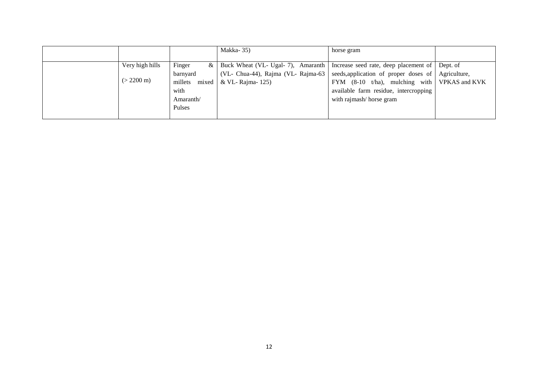|                      |           | Makka-35)                                    | horse gram                                                |  |
|----------------------|-----------|----------------------------------------------|-----------------------------------------------------------|--|
|                      |           |                                              |                                                           |  |
| Very high hills      | Finger    | & Buck Wheat (VL- Ugal- 7), Amaranth         | Increase seed rate, deep placement of   Dept. of          |  |
|                      | barnyard  | $\sqrt{(VL}$ - Chua-44), Rajma (VL- Rajma-63 | seeds, application of proper doses of Agriculture,        |  |
| $(> 2200 \text{ m})$ |           | millets mixed   & VL-Rajma- 125)             | FYM $(8-10 \text{ t/ha})$ , mulching with   VPKAS and KVK |  |
|                      | with      |                                              | available farm residue, intercropping                     |  |
|                      | Amaranth/ |                                              | with rajmash/ horse gram                                  |  |
|                      | Pulses    |                                              |                                                           |  |
|                      |           |                                              |                                                           |  |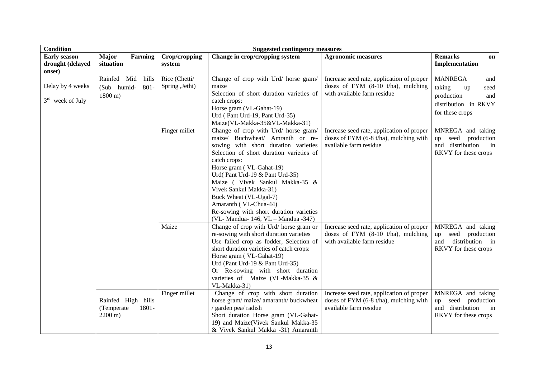| <b>Condition</b>                                  | <b>Suggested contingency measures</b>                                |                                  |                                                                                                                                                                                                                                                                                                                                                                                                                                              |                                                                                                                           |                                                                                                               |  |
|---------------------------------------------------|----------------------------------------------------------------------|----------------------------------|----------------------------------------------------------------------------------------------------------------------------------------------------------------------------------------------------------------------------------------------------------------------------------------------------------------------------------------------------------------------------------------------------------------------------------------------|---------------------------------------------------------------------------------------------------------------------------|---------------------------------------------------------------------------------------------------------------|--|
| <b>Early season</b><br>drought (delayed<br>onset) | <b>Major</b><br>Farming<br>situation                                 | Crop/cropping<br>system          | Change in crop/cropping system                                                                                                                                                                                                                                                                                                                                                                                                               | <b>Agronomic measures</b>                                                                                                 | <b>Remarks</b><br>on<br>Implementation                                                                        |  |
| Delay by 4 weeks<br>$3rd$ week of July            | Rainfed Mid<br>hills<br>$801 -$<br>(Sub humid-<br>$1800 \text{ m}$ ) | Rice (Chetti/<br>Spring , Jethi) | Change of crop with Urd/ horse gram/<br>maize<br>Selection of short duration varieties of<br>catch crops:<br>Horse gram (VL-Gahat-19)<br>Urd (Pant Urd-19, Pant Urd-35)<br>Maize(VL-Makka-35&VL-Makka-31)                                                                                                                                                                                                                                    | Increase seed rate, application of proper<br>doses of FYM $(8-10 \text{ t/ha})$ , mulching<br>with available farm residue | <b>MANREGA</b><br>and<br>taking<br>up<br>seed<br>production<br>and<br>distribution in RKVY<br>for these crops |  |
|                                                   |                                                                      | Finger millet                    | Change of crop with Urd/ horse gram/<br>maize/ Buchwheat/ Amranth or re-<br>sowing with short duration varieties<br>Selection of short duration varieties of<br>catch crops:<br>Horse gram (VL-Gahat-19)<br>Urd(Pant Urd-19 & Pant Urd-35)<br>Maize ( Vivek Sankul Makka-35 &<br>Vivek Sankul Makka-31)<br>Buck Wheat (VL-Ugal-7)<br>Amaranth (VL-Chua-44)<br>Re-sowing with short duration varieties<br>(VL- Mandua- 146, VL - Mandua -347) | Increase seed rate, application of proper<br>doses of FYM (6-8 t/ha), mulching with<br>available farm residue             | MNREGA and taking<br>seed<br>production<br>up<br>and distribution<br>in<br>RKVY for these crops               |  |
|                                                   |                                                                      | Maize                            | Change of crop with Urd/ horse gram or<br>re-sowing with short duration varieties<br>Use failed crop as fodder, Selection of<br>short duration varieties of catch crops:<br>Horse gram (VL-Gahat-19)<br>Urd (Pant Urd-19 & Pant Urd-35)<br>Or Re-sowing with short duration<br>varieties of Maize (VL-Makka-35 &<br>VL-Makka-31)                                                                                                             | Increase seed rate, application of proper<br>doses of FYM (8-10 t/ha), mulching<br>with available farm residue            | MNREGA and taking<br>seed<br>production<br>up<br>distribution in<br>and<br>RKVY for these crops               |  |
|                                                   | Rainfed High hills<br>(Temperate<br>1801-<br>$2200 \text{ m}$ )      | Finger millet                    | Change of crop with short duration<br>horse gram/ maize/ amaranth/ buckwheat<br>/ garden pea/ radish<br>Short duration Horse gram (VL-Gahat-<br>19) and Maize(Vivek Sankul Makka-35<br>& Vivek Sankul Makka -31) Amaranth                                                                                                                                                                                                                    | Increase seed rate, application of proper<br>doses of FYM (6-8 t/ha), mulching with<br>available farm residue             | MNREGA and taking<br>seed<br>production<br>up<br>and distribution<br>in<br>RKVY for these crops               |  |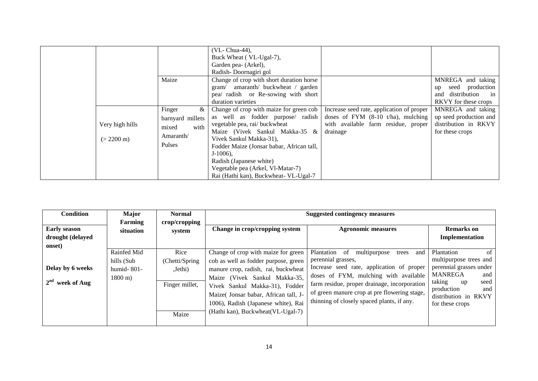|                                         | Maize                                                                   | (VL- Chua-44),<br>Buck Wheat (VL-Ugal-7),<br>Garden pea- (Arkel),<br>Radish-Doornagiri gol<br>Change of crop with short duration horse<br>gram/ amaranth/ buckwheat / garden<br>pea/ radish or Re-sowing with short<br>duration varieties                                                                                                       |                                                                                                                                               | MNREGA and taking<br>seed production<br>up<br>and distribution<br>$\sin$<br>RKVY for these crops |
|-----------------------------------------|-------------------------------------------------------------------------|-------------------------------------------------------------------------------------------------------------------------------------------------------------------------------------------------------------------------------------------------------------------------------------------------------------------------------------------------|-----------------------------------------------------------------------------------------------------------------------------------------------|--------------------------------------------------------------------------------------------------|
| Very high hills<br>$(> 2200 \text{ m})$ | Finger<br>&<br>barnyard millets<br>with<br>mixed<br>Amaranth/<br>Pulses | Change of crop with maize for green cob<br>as well as fodder purpose/ radish<br>vegetable pea, rai/ buckwheat<br>Maize (Vivek Sankul Makka-35 &<br>Vivek Sankul Makka-31),<br>Fodder Maize (Jonsar babar, African tall,<br>$J-1006$ ),<br>Radish (Japanese white)<br>Vegetable pea (Arkel, Vl-Matar-7)<br>Rai (Hathi kan), Buckwheat- VL-Ugal-7 | Increase seed rate, application of proper<br>doses of FYM $(8-10 \text{ t/ha})$ , mulching<br>with available farm residue, proper<br>drainage | MNREGA and taking<br>up seed production and<br>distribution in RKVY<br>for these crops           |

| <b>Condition</b>                                   | Major                                                            | <b>Normal</b>                                               |                                                                                                                                                                                                                                                                                                             | <b>Suggested contingency measures</b>                                                                                                                                                                                                                                                                                 |                                                                                                                                                                                        |  |
|----------------------------------------------------|------------------------------------------------------------------|-------------------------------------------------------------|-------------------------------------------------------------------------------------------------------------------------------------------------------------------------------------------------------------------------------------------------------------------------------------------------------------|-----------------------------------------------------------------------------------------------------------------------------------------------------------------------------------------------------------------------------------------------------------------------------------------------------------------------|----------------------------------------------------------------------------------------------------------------------------------------------------------------------------------------|--|
| <b>Early season</b><br>drought (delayed<br>onset)  | <b>Farming</b><br>situation                                      | crop/cropping<br>system                                     | Change in crop/cropping system                                                                                                                                                                                                                                                                              | <b>Agronomic measures</b>                                                                                                                                                                                                                                                                                             | <b>Remarks</b> on<br><b>Implementation</b>                                                                                                                                             |  |
| Delay by 6 weeks<br>2 <sup>nd</sup><br>week of Aug | Rainfed Mid<br>hills (Sub<br>humid- $801-$<br>$1800 \text{ m}$ ) | Rice<br>(Chetti/Spring<br>Jethi)<br>Finger millet,<br>Maize | Change of crop with maize for green<br>cob as well as fodder purpose, green<br>manure crop, radish, rai, buckwheat<br>Maize (Vivek Sankul Makka-35,<br>Vivek Sankul Makka-31), Fodder<br>Maize (Jonsar babar, African tall, J-<br>1006), Radish (Japanese white), Rai<br>(Hathi kan), Buckwheat (VL-Ugal-7) | Plantation<br><sup>of</sup><br>multipurpose<br>trees<br>and<br>perennial grasses,<br>Increase seed rate, application of proper<br>doses of FYM, mulching with available<br>farm residue, proper drainage, incorporation<br>of green manure crop at pre flowering stage,<br>thinning of closely spaced plants, if any. | Plantation<br>of<br>multipurpose trees and<br>perennial grasses under<br><b>MANREGA</b><br>and<br>taking<br>seed<br>up<br>production<br>and<br>distribution in RKVY<br>for these crops |  |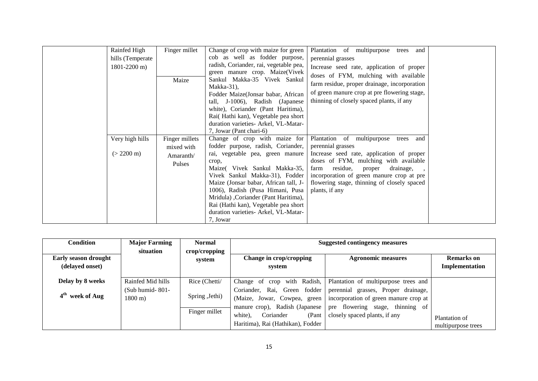| Rainfed High<br>hills (Temperate<br>$1801 - 2200$ m) | Finger millet<br>Maize                              | Change of crop with maize for green<br>cob as well as fodder purpose,<br>radish, Coriander, rai, vegetable pea,<br>green manure crop. Maize(Vivek<br>Sankul Makka-35 Vivek Sankul<br>Makka-31 $)$ ,<br>Fodder Maize(Jonsar babar, African<br>tall, J-1006), Radish (Japanese<br>white), Coriander (Pant Haritima),                                                                                   | Plantation of multipurpose<br>trees and<br>perennial grasses<br>Increase seed rate, application of proper<br>doses of FYM, mulching with available<br>farm residue, proper drainage, incorporation<br>of green manure crop at pre flowering stage,<br>thinning of closely spaced plants, if any             |  |
|------------------------------------------------------|-----------------------------------------------------|------------------------------------------------------------------------------------------------------------------------------------------------------------------------------------------------------------------------------------------------------------------------------------------------------------------------------------------------------------------------------------------------------|-------------------------------------------------------------------------------------------------------------------------------------------------------------------------------------------------------------------------------------------------------------------------------------------------------------|--|
|                                                      |                                                     | Rai(Hathi kan), Vegetable pea short<br>duration varieties- Arkel, VL-Matar-<br>7, Jowar (Pant chari-6)                                                                                                                                                                                                                                                                                               |                                                                                                                                                                                                                                                                                                             |  |
| Very high hills<br>$(> 2200 \text{ m})$              | Finger millets<br>mixed with<br>Amaranth/<br>Pulses | Change of crop with maize for<br>fodder purpose, radish, Coriander,<br>rai, vegetable pea, green manure<br>crop,<br>Maize( Vivek Sankul Makka-35,<br>Vivek Sankul Makka-31), Fodder<br>Maize (Jonsar babar, African tall, J-<br>1006), Radish (Pusa Himani, Pusa<br>Mridula), Coriander (Pant Haritima),<br>Rai (Hathi kan), Vegetable pea short<br>duration varieties- Arkel, VL-Matar-<br>7, Jowar | Plantation of multipurpose<br>trees<br>and<br>perennial grasses<br>Increase seed rate, application of proper<br>doses of FYM, mulching with available<br>farm residue,<br>proper<br>drainage,<br>incorporation of green manure crop at pre<br>flowering stage, thinning of closely spaced<br>plants, if any |  |

| Condition                                      | <b>Major Farming</b>                  | <b>Normal</b>                    |                                                                                                                                                                      | Suggested contingency measures                                                                                                                    |                                     |
|------------------------------------------------|---------------------------------------|----------------------------------|----------------------------------------------------------------------------------------------------------------------------------------------------------------------|---------------------------------------------------------------------------------------------------------------------------------------------------|-------------------------------------|
| <b>Early season drought</b><br>(delayed onset) | situation                             | crop/cropping<br>system          | Change in crop/cropping<br>system                                                                                                                                    | <b>Agronomic measures</b>                                                                                                                         | <b>Remarks</b> on<br>Implementation |
| Delay by 8 weeks                               | Rainfed Mid hills                     | Rice (Chetti/                    | crop with Radish,<br>Change of                                                                                                                                       | Plantation of multipurpose trees and                                                                                                              |                                     |
| 4 <sup>th</sup> week of Aug                    | (Sub humid-801-<br>$1800 \text{ m}$ ) | Spring , Jethi)<br>Finger millet | Coriander, Rai, Green fodder<br>(Maize, Jowar, Cowpea, green<br>manure crop), Radish (Japanese<br>Coriander<br>white),<br>(Pant<br>Haritima), Rai (Hathikan), Fodder | perennial grasses, Proper drainage,<br>incorporation of green manure crop at<br>pre flowering stage, thinning of<br>closely spaced plants, if any | Plantation of<br>multipurpose trees |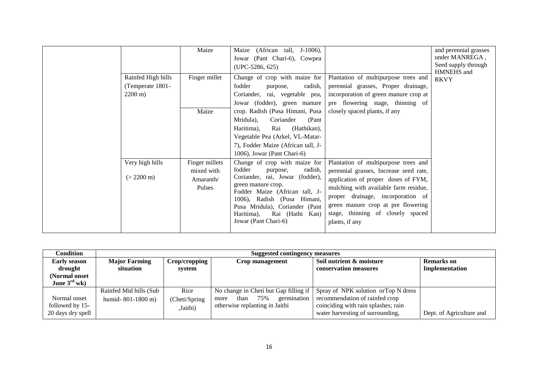|                                                              | Maize                                               | (African tall, J-1006),<br>Maize<br>Jowar (Pant Chari-6), Cowpea<br>$(UPC-5286, 625)$                                                                                                                                                                                                  |                                                                                                                                                                                                                                                                                                  | and perennial grasses<br>under MANREGA,<br>Seed supply through<br>HMNEHS and |
|--------------------------------------------------------------|-----------------------------------------------------|----------------------------------------------------------------------------------------------------------------------------------------------------------------------------------------------------------------------------------------------------------------------------------------|--------------------------------------------------------------------------------------------------------------------------------------------------------------------------------------------------------------------------------------------------------------------------------------------------|------------------------------------------------------------------------------|
| Rainfed High hills<br>(Temperate 1801-<br>$2200 \text{ m}$ ) | Finger millet                                       | Change of crop with maize for<br>fodder<br>radish,<br>purpose,<br>Coriander, rai, vegetable pea,<br>Jowar (fodder), green manure                                                                                                                                                       | Plantation of multipurpose trees and<br>perennial grasses, Proper drainage,<br>incorporation of green manure crop at<br>pre flowering stage, thinning of                                                                                                                                         | <b>RKVY</b>                                                                  |
|                                                              | Maize                                               | crop. Radish (Pusa Himani, Pusa<br>Coriander<br>(Pant<br>Mridula),<br>(Hathikan),<br>Haritima),<br>Rai<br>Vegetable Pea (Arkel, VL-Matar-<br>7), Fodder Maize (African tall, J-<br>1006), Jowar (Pant Chari-6)                                                                         | closely spaced plants, if any                                                                                                                                                                                                                                                                    |                                                                              |
| Very high hills<br>$(> 2200 \text{ m})$                      | Finger millets<br>mixed with<br>Amaranth/<br>Pulses | Change of crop with maize for<br>fodder<br>radish,<br>purpose,<br>Coriander, rai, Jowar (fodder),<br>green manure crop.<br>Fodder Maize (African tall, J-<br>1006), Radish (Pusa Himani,<br>Pusa Mridula), Coriander (Pant<br>Rai (Hathi<br>Haritima),<br>Kan)<br>Jowar (Pant Chari-6) | Plantation of multipurpose trees and<br>perennial grasses, Increase seed rate,<br>application of proper doses of FYM,<br>mulching with available farm residue,<br>proper drainage, incorporation of<br>green manure crop at pre flowering<br>stage, thinning of closely spaced<br>plants, if any |                                                                              |

| Condition                | <b>Suggested contingency measures</b> |                |                                       |                                      |                          |  |  |
|--------------------------|---------------------------------------|----------------|---------------------------------------|--------------------------------------|--------------------------|--|--|
| <b>Early season</b>      | <b>Major Farming</b>                  | Crop/cropping  | Crop management                       | Soil nutrient & moisture             | <b>Remarks</b> on        |  |  |
| drought                  | situation                             | system         |                                       | conservation measures                | Implementation           |  |  |
| (Normal onset            |                                       |                |                                       |                                      |                          |  |  |
| June $3^{\text{rd}}$ wk) |                                       |                |                                       |                                      |                          |  |  |
|                          | Rainfed Mid hills (Sub                | Rice           | No change in Cheti but Gap filling if | Spray of NPK solution or Top N dress |                          |  |  |
| Normal onset             | humid-801-1800 m)                     | (Cheti/Spring) | germination<br>75%<br>than<br>more    | recommendation of rainfed crop       |                          |  |  |
| followed by 15-          |                                       | ,Jaithi)       | otherwise replanting in Jaithi        | coinciding with rain splashes; rain  |                          |  |  |
| 20 days dry spell        |                                       |                |                                       | water harvesting of surrounding,     | Dept. of Agriculture and |  |  |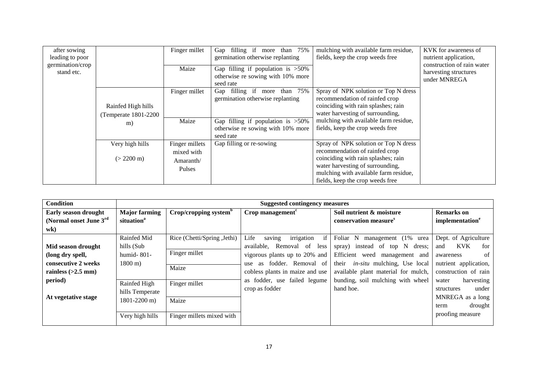| after sowing<br>leading to poor<br>germination/crop<br>stand etc. |                       | Finger millet<br>Maize  | Gap filling if more than 75%<br>germination otherwise replanting<br>Gap filling if population is $>50\%$ | mulching with available farm residue,<br>fields, keep the crop weeds free                                     | KVK for awareness of<br>nutrient application,<br>construction of rain water<br>harvesting structures |
|-------------------------------------------------------------------|-----------------------|-------------------------|----------------------------------------------------------------------------------------------------------|---------------------------------------------------------------------------------------------------------------|------------------------------------------------------------------------------------------------------|
|                                                                   |                       |                         | otherwise re sowing with 10% more<br>seed rate                                                           |                                                                                                               | under MNREGA                                                                                         |
|                                                                   | Rainfed High hills    | Finger millet           | Gap filling if more than 75%<br>germination otherwise replanting                                         | Spray of NPK solution or Top N dress<br>recommendation of rainfed crop<br>coinciding with rain splashes; rain |                                                                                                      |
|                                                                   | (Temperate 1801-2200) |                         |                                                                                                          | water harvesting of surrounding,                                                                              |                                                                                                      |
|                                                                   | m)                    | Maize                   | Gap filling if population is $>50\%$<br>otherwise re sowing with 10% more<br>seed rate                   | mulching with available farm residue,<br>fields, keep the crop weeds free                                     |                                                                                                      |
|                                                                   | Very high hills       | Finger millets          | Gap filling or re-sowing                                                                                 | Spray of NPK solution or Top N dress                                                                          |                                                                                                      |
|                                                                   | $(> 2200 \text{ m})$  | mixed with<br>Amaranth/ |                                                                                                          | recommendation of rainfed crop<br>coinciding with rain splashes; rain<br>water harvesting of surrounding,     |                                                                                                      |
|                                                                   |                       | <b>Pulses</b>           |                                                                                                          | mulching with available farm residue,<br>fields, keep the crop weeds free                                     |                                                                                                      |

| <b>Condition</b>            |                        | <b>Suggested contingency measures</b> |                                    |                                             |                             |  |  |  |  |
|-----------------------------|------------------------|---------------------------------------|------------------------------------|---------------------------------------------|-----------------------------|--|--|--|--|
| <b>Early season drought</b> | <b>Major farming</b>   | Crop/cropping system <sup>b</sup>     | Crop management $c$                | Soil nutrient & moisture                    | <b>Remarks</b> on           |  |  |  |  |
| (Normal onset June 3rd)     | situation <sup>a</sup> |                                       |                                    | conservation measure <sup>s</sup>           | implementation <sup>e</sup> |  |  |  |  |
| wk)                         |                        |                                       |                                    |                                             |                             |  |  |  |  |
|                             | Rainfed Mid            | Rice (Chetti/Spring, Jethi)           | irrigation<br>if<br>Life<br>saving | Foliar N<br>management (1%<br>urea          | Dept. of Agriculture        |  |  |  |  |
| Mid season drought          | hills (Sub             |                                       | Removal of<br>available,<br>less   | spray) instead of top N dress;              | <b>KVK</b><br>for<br>and    |  |  |  |  |
| (long dry spell,            | humid- $801-$          | Finger millet                         | vigorous plants up to 20% and      | Efficient weed<br>management and            | of<br>awareness             |  |  |  |  |
| consecutive 2 weeks         | $1800 \text{ m}$ )     |                                       | fodder. Removal of<br>as<br>use    | <i>in-situ</i> mulching, Use local<br>their | nutrient application,       |  |  |  |  |
| rainless $(>2.5$ mm)        |                        | Maize                                 | cobless plants in maize and use    | available plant material for mulch,         | construction of rain        |  |  |  |  |
| period)                     | Rainfed High           | Finger millet                         | as fodder, use failed legume       | bunding, soil mulching with wheel           | harvesting<br>water         |  |  |  |  |
|                             | hills Temperate        |                                       | crop as fodder                     | hand hoe.                                   | under<br>structures         |  |  |  |  |
| At vegetative stage         | 1801-2200 m)           | Maize                                 |                                    |                                             | MNREGA as a long            |  |  |  |  |
|                             |                        |                                       |                                    |                                             | drought<br>term             |  |  |  |  |
|                             | Very high hills        | Finger millets mixed with             |                                    |                                             | proofing measure            |  |  |  |  |
|                             |                        |                                       |                                    |                                             |                             |  |  |  |  |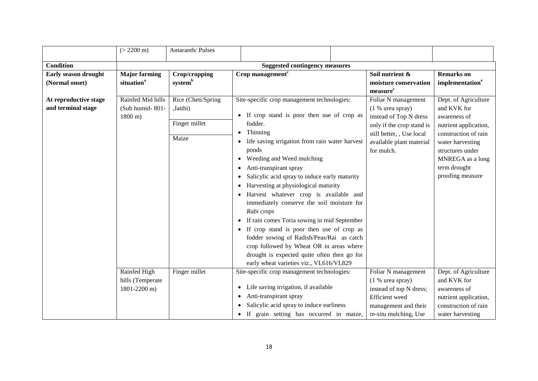|                                             | $(> 2200 \text{ m})$                                       | Amaranth/Pulses                |                                                                                                                                                                                                                                                                                                                                                                                                                                                                                                                                                                                                             |                                                                       |                                                                                              |  |  |
|---------------------------------------------|------------------------------------------------------------|--------------------------------|-------------------------------------------------------------------------------------------------------------------------------------------------------------------------------------------------------------------------------------------------------------------------------------------------------------------------------------------------------------------------------------------------------------------------------------------------------------------------------------------------------------------------------------------------------------------------------------------------------------|-----------------------------------------------------------------------|----------------------------------------------------------------------------------------------|--|--|
| <b>Condition</b>                            | <b>Suggested contingency measures</b>                      |                                |                                                                                                                                                                                                                                                                                                                                                                                                                                                                                                                                                                                                             |                                                                       |                                                                                              |  |  |
| Early season drought<br>(Normal onset)      | <b>Major farming</b><br>situation <sup>a</sup>             | Crop/cropping<br>systemb       | $\overline{\text{Crop}}$ management <sup>c</sup>                                                                                                                                                                                                                                                                                                                                                                                                                                                                                                                                                            | Soil nutrient &<br>moisture conservation<br>measure <sup>s</sup>      | <b>Remarks</b> on<br>implementation <sup>e</sup>                                             |  |  |
| At reproductive stage<br>and terminal stage | Rainfed Mid hills<br>(Sub humid-801-<br>$1800 \text{ m}$ ) | Rice (Cheti/Spring<br>,Jaithi) | Site-specific crop management technologies:<br>• If crop stand is poor then use of crop as                                                                                                                                                                                                                                                                                                                                                                                                                                                                                                                  | Foliar N management<br>$(1 %$ urea spray)<br>instead of Top N dress   | Dept. of Agriculture<br>and KVK for<br>awareness of                                          |  |  |
|                                             |                                                            | Finger millet                  | fodder.<br>Thinning<br>$\bullet$                                                                                                                                                                                                                                                                                                                                                                                                                                                                                                                                                                            | only if the crop stand is<br>still better, , Use local                | nutrient application,<br>construction of rain                                                |  |  |
|                                             |                                                            | Maize                          | life saving irrigation from rain water harvest<br>ponds<br>Weeding and Weed mulching<br>$\bullet$<br>Anti-transpirant spray<br>Salicylic acid spray to induce early maturity<br>Harvesting at physiological maturity<br>Harvest whatever crop is available and<br>immediately conserve the soil moisture for<br>Rabi crops<br>If rain comes Toria sowing in mid September<br>• If crop stand is poor then use of crop as<br>fodder sowing of Radish/Peas/Rai as catch<br>crop followed by Wheat OR in areas where<br>drought is expected quite often then go for<br>early wheat varieties viz., VL616/VL829 | available plant material<br>for mulch.                                | water harvesting<br>structures under<br>MNREGA as a long<br>term drought<br>proofing measure |  |  |
|                                             | Rainfed High<br>hills (Temperate<br>1801-2200 m)           | Finger millet                  | Site-specific crop management technologies:<br>Life saving irrigation, if available<br>$\bullet$                                                                                                                                                                                                                                                                                                                                                                                                                                                                                                            | Foliar N management<br>$(1 %)$ urea spray)<br>instead of top N dress; | Dept. of Agriculture<br>and KVK for<br>awareness of                                          |  |  |
|                                             |                                                            |                                | Anti-transpirant spray<br>$\bullet$<br>Salicylic acid spray to induce earliness<br>If grain setting has occurred in maize,                                                                                                                                                                                                                                                                                                                                                                                                                                                                                  | Efficient weed<br>management and their<br>in-situ mulching, Use       | nutrient application,<br>construction of rain<br>water harvesting                            |  |  |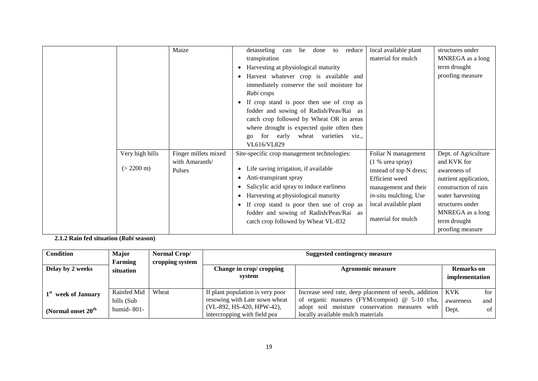|                      | Maize                | detasseling<br>to reduce<br>can be<br>done             | local available plant   | structures under      |
|----------------------|----------------------|--------------------------------------------------------|-------------------------|-----------------------|
|                      |                      | transpiration                                          | material for mulch      | MNREGA as a long      |
|                      |                      | Harvesting at physiological maturity<br>$\bullet$      |                         | term drought          |
|                      |                      | Harvest whatever crop is available and<br>$\bullet$    |                         | proofing measure      |
|                      |                      | immediately conserve the soil moisture for             |                         |                       |
|                      |                      | Rabi crops                                             |                         |                       |
|                      |                      | If crop stand is poor then use of crop as              |                         |                       |
|                      |                      | fodder and sowing of Radish/Peas/Rai as                |                         |                       |
|                      |                      | catch crop followed by Wheat OR in areas               |                         |                       |
|                      |                      | where drought is expected quite often then             |                         |                       |
|                      |                      | for early<br>wheat varieties<br>viz.,<br>$g_{O}$       |                         |                       |
|                      |                      | VL616/VL829                                            |                         |                       |
| Very high hills      | Finger millets mixed | Site-specific crop management technologies:            | Foliar N management     | Dept. of Agriculture  |
|                      | with Amaranth/       |                                                        | $(1 %$ urea spray)      | and KVK for           |
| $(> 2200 \text{ m})$ | <b>Pulses</b>        | Life saving irrigation, if available<br>٠              | instead of top N dress; | awareness of          |
|                      |                      | Anti-transpirant spray<br>$\bullet$                    | Efficient weed          | nutrient application, |
|                      |                      | Salicylic acid spray to induce earliness               | management and their    | construction of rain  |
|                      |                      | Harvesting at physiological maturity                   | in-situ mulching, Use   | water harvesting      |
|                      |                      | If crop stand is poor then use of crop as<br>$\bullet$ | local available plant   | structures under      |
|                      |                      | fodder and sowing of Radish/Peas/Rai as                |                         | MNREGA as a long      |
|                      |                      | catch crop followed by Wheat VL-832                    | material for mulch      | term drought          |
|                      |                      |                                                        |                         | proofing measure      |

**2.1.2 Rain fed situation (***Rabi* **season)**

| <b>Condition</b>     | Major         | Normal Crop/    |                                    | <b>Suggested contingency measure</b>                        |                                     |
|----------------------|---------------|-----------------|------------------------------------|-------------------------------------------------------------|-------------------------------------|
|                      | Farming       | cropping system |                                    |                                                             |                                     |
| Delay by 2 weeks     | situation     |                 | Change in crop/ cropping<br>system | <b>Agronomic measure</b>                                    | <b>Remarks</b> on<br>implementation |
|                      |               |                 |                                    |                                                             |                                     |
| week of January      | Rainfed Mid   | Wheat           | If plant population is very poor   | Increase seed rate, deep placement of seeds, addition   KVK | for                                 |
|                      | hills (Sub    |                 | resowing with Late sown wheat      | of organic manures (FYM/compost) $@$ 5-10 t/ha,             | and<br>awareness                    |
| (Normal onset $20th$ | humid- $801-$ |                 | (VL-892, HS-420, HPW-42),          | adopt soil moisture conservation measures with              | Dept.<br>of                         |
|                      |               |                 | intercropping with field pea       | locally available mulch materials                           |                                     |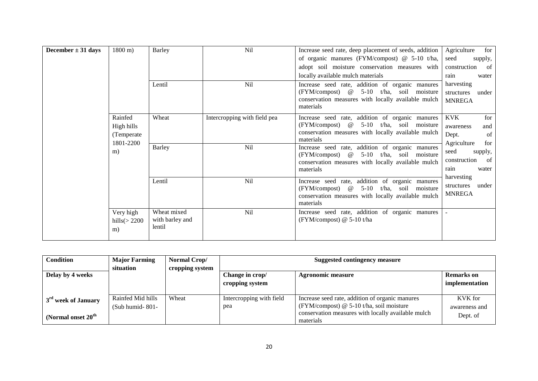|                                  |                             |                                          | Nil                          |                                                                                                                                                                     |                                                                            |
|----------------------------------|-----------------------------|------------------------------------------|------------------------------|---------------------------------------------------------------------------------------------------------------------------------------------------------------------|----------------------------------------------------------------------------|
| December $\pm$ 31 days           | $1800 \text{ m}$ )          | Barley                                   |                              | Increase seed rate, deep placement of seeds, addition<br>of organic manures (FYM/compost) $@$ 5-10 t/ha,                                                            | Agriculture<br>for<br>seed<br>supply,                                      |
|                                  |                             |                                          |                              | adopt soil moisture conservation measures with                                                                                                                      | construction<br>- of                                                       |
|                                  |                             |                                          |                              | locally available mulch materials                                                                                                                                   | rain<br>water                                                              |
| Rainfed<br>1801-2200<br>m)<br>m) |                             | Lentil                                   | <b>Nil</b>                   | Increase seed rate, addition of organic manures<br>$(FYM/compost)$ @<br>5-10 t/ha, soil moisture<br>conservation measures with locally available mulch<br>materials | harvesting<br>structures<br>under<br><b>MNREGA</b>                         |
|                                  | High hills<br>(Temperate)   | Wheat                                    | Intercropping with field pea | Increase seed rate, addition of organic manures<br>5-10 t/ha, soil moisture<br>(FYM/compost) @<br>conservation measures with locally available mulch<br>materials   | <b>KVK</b><br>for<br>awareness<br>and<br>Dept.<br>of<br>Agriculture<br>for |
|                                  |                             | <b>Barley</b>                            | Nil                          | Increase seed rate, addition of organic manures<br>5-10 t/ha, soil moisture<br>(FYM/compost) @<br>conservation measures with locally available mulch<br>materials   | seed<br>supply,<br>construction<br><sup>of</sup><br>water<br>rain          |
|                                  |                             | Lentil                                   | Nil                          | Increase seed rate, addition of organic manures<br>5-10 t/ha, soil moisture<br>(FYM/compost) @<br>conservation measures with locally available mulch<br>materials   | harvesting<br>structures<br>under<br><b>MNREGA</b>                         |
|                                  | Very high<br>hills $(>2200$ | Wheat mixed<br>with barley and<br>lentil | Nil                          | Increase seed rate, addition of organic manures<br>(FYM/compost) $@$ 5-10 t/ha                                                                                      |                                                                            |

| <b>Condition</b>                 | <b>Major Farming</b> | Normal Crop/    | <b>Suggested contingency measure</b> |                                                    |                   |
|----------------------------------|----------------------|-----------------|--------------------------------------|----------------------------------------------------|-------------------|
|                                  | situation            | cropping system |                                      |                                                    |                   |
| Delay by 4 weeks                 |                      |                 | Change in crop/                      | <b>Agronomic measure</b>                           | <b>Remarks</b> on |
|                                  |                      |                 | cropping system                      |                                                    | implementation    |
|                                  |                      |                 |                                      |                                                    |                   |
| 3 <sup>rd</sup> week of January  | Rainfed Mid hills    | Wheat           | Intercropping with field             | Increase seed rate, addition of organic manures    | KVK for           |
|                                  | (Sub humid-801-      |                 | pea                                  | (FYM/compost) $@$ 5-10 t/ha, soil moisture         | awareness and     |
| (Normal onset $20^{\text{th}}$ ) |                      |                 |                                      | conservation measures with locally available mulch | Dept. of          |
|                                  |                      |                 |                                      | materials                                          |                   |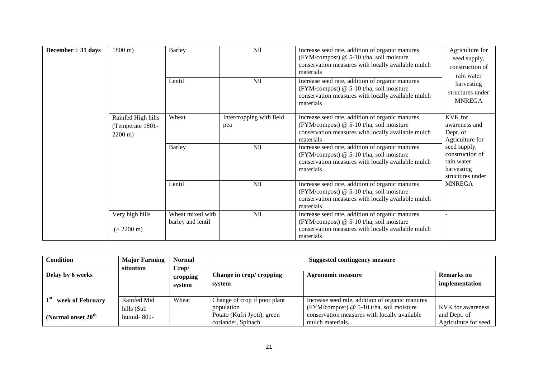| December $\pm$ 31 days | $1800 \text{ m}$ )                                           | Barley                                | <b>Nil</b>                      | Increase seed rate, addition of organic manures<br>(FYM/compost) @ 5-10 t/ha, soil moisture<br>conservation measures with locally available mulch<br>materials | Agriculture for<br>seed supply,<br>construction of<br>rain water                |
|------------------------|--------------------------------------------------------------|---------------------------------------|---------------------------------|----------------------------------------------------------------------------------------------------------------------------------------------------------------|---------------------------------------------------------------------------------|
|                        |                                                              | Lentil                                | Nil                             | Increase seed rate, addition of organic manures<br>(FYM/compost) @ 5-10 t/ha, soil moisture<br>conservation measures with locally available mulch<br>materials | harvesting<br>structures under<br><b>MNREGA</b>                                 |
|                        | Rainfed High hills<br>(Temperate 1801-<br>$2200 \text{ m}$ ) | Wheat                                 | Intercropping with field<br>pea | Increase seed rate, addition of organic manures<br>(FYM/compost) @ 5-10 t/ha, soil moisture<br>conservation measures with locally available mulch<br>materials | KVK for<br>awareness and<br>Dept. of<br>Agriculture for                         |
|                        |                                                              | <b>Barley</b>                         | Nil                             | Increase seed rate, addition of organic manures<br>(FYM/compost) @ 5-10 t/ha, soil moisture<br>conservation measures with locally available mulch<br>materials | seed supply,<br>construction of<br>rain water<br>harvesting<br>structures under |
|                        |                                                              | Lentil                                | Nil                             | Increase seed rate, addition of organic manures<br>(FYM/compost) @ 5-10 t/ha, soil moisture<br>conservation measures with locally available mulch<br>materials | <b>MNREGA</b>                                                                   |
|                        | Very high hills                                              | Wheat mixed with<br>barley and lentil | Nil                             | Increase seed rate, addition of organic manures<br>(FYM/compost) @ 5-10 t/ha, soil moisture                                                                    |                                                                                 |
|                        | $(> 2200 \text{ m})$                                         |                                       |                                 | conservation measures with locally available mulch<br>materials                                                                                                |                                                                                 |

| <b>Condition</b>                 | <b>Major Farming</b><br>situation | <b>Normal</b><br>Crop/ | <b>Suggested contingency measure</b>              |                                                                                               |                                      |
|----------------------------------|-----------------------------------|------------------------|---------------------------------------------------|-----------------------------------------------------------------------------------------------|--------------------------------------|
| Delay by 6 weeks                 |                                   | cropping<br>system     | Change in crop/ cropping<br>system                | Agronomic measure                                                                             | <b>Remarks</b> on<br>implementation  |
| week of February                 | Rainfed Mid<br>hills (Sub         | Wheat                  | Change of crop if poor plant<br>population        | Increase seed rate, addition of organic manures<br>(FYM/compost) $@$ 5-10 t/ha, soil moisture | KVK for awareness                    |
| (Normal onset $20^{\text{th}}$ ) | humid-801-                        |                        | Potato (Kufri Jyoti), green<br>coriander, Spinach | conservation measures with locally available<br>mulch materials.                              | and Dept. of<br>Agriculture for seed |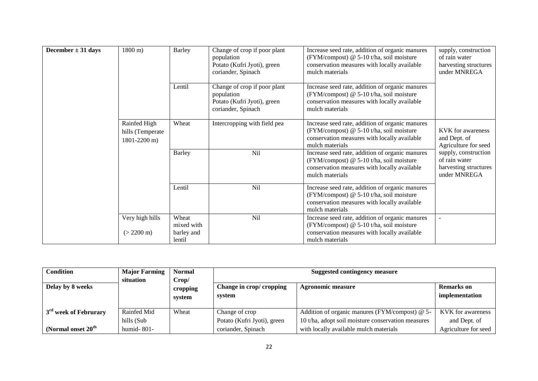| December $\pm$ 31 days | $1800 \text{ m}$ )                               | <b>Barley</b>        | Change of crop if poor plant                                                                    | Increase seed rate, addition of organic manures                                                                                                                | supply, construction                                                           |
|------------------------|--------------------------------------------------|----------------------|-------------------------------------------------------------------------------------------------|----------------------------------------------------------------------------------------------------------------------------------------------------------------|--------------------------------------------------------------------------------|
|                        |                                                  |                      | population                                                                                      | (FYM/compost) @ 5-10 t/ha, soil moisture                                                                                                                       | of rain water                                                                  |
|                        |                                                  |                      | Potato (Kufri Jyoti), green<br>coriander, Spinach                                               | conservation measures with locally available<br>mulch materials                                                                                                | harvesting structures<br>under MNREGA                                          |
|                        |                                                  | Lentil               | Change of crop if poor plant<br>population<br>Potato (Kufri Jyoti), green<br>coriander, Spinach | Increase seed rate, addition of organic manures<br>(FYM/compost) @ 5-10 t/ha, soil moisture<br>conservation measures with locally available<br>mulch materials |                                                                                |
|                        | Rainfed High<br>hills (Temperate<br>1801-2200 m) | Wheat                | Intercropping with field pea                                                                    | Increase seed rate, addition of organic manures<br>(FYM/compost) @ 5-10 t/ha, soil moisture<br>conservation measures with locally available<br>mulch materials | <b>KVK</b> for awareness<br>and Dept. of<br>Agriculture for seed               |
|                        |                                                  | <b>Barley</b>        | Nil                                                                                             | Increase seed rate, addition of organic manures<br>(FYM/compost) @ 5-10 t/ha, soil moisture<br>conservation measures with locally available<br>mulch materials | supply, construction<br>of rain water<br>harvesting structures<br>under MNREGA |
|                        |                                                  | Lentil               | Nil                                                                                             | Increase seed rate, addition of organic manures<br>(FYM/compost) @ 5-10 t/ha, soil moisture<br>conservation measures with locally available<br>mulch materials |                                                                                |
|                        | Very high hills                                  | Wheat<br>mixed with  | Nil                                                                                             | Increase seed rate, addition of organic manures<br>(FYM/compost) @ 5-10 t/ha, soil moisture                                                                    |                                                                                |
|                        | $(> 2200 \text{ m})$                             | barley and<br>lentil |                                                                                                 | conservation measures with locally available<br>mulch materials                                                                                                |                                                                                |

| <b>Condition</b>                  | <b>Major Farming</b> | <b>Normal</b> | <b>Suggested contingency measure</b> |                                                    |                      |
|-----------------------------------|----------------------|---------------|--------------------------------------|----------------------------------------------------|----------------------|
|                                   | situation            | Crop/         |                                      |                                                    |                      |
| Delay by 8 weeks                  |                      | cropping      | Change in crop/ cropping             | Agronomic measure                                  | Remarks on           |
|                                   |                      | system        | system                               |                                                    | implementation       |
|                                   |                      |               |                                      |                                                    |                      |
| 3 <sup>rd</sup> week of Februrary | Rainfed Mid          | Wheat         | Change of crop                       | Addition of organic manures (FYM/compost) @ 5-     | KVK for awareness    |
|                                   | hills (Sub           |               | Potato (Kufri Jyoti), green          | 10 t/ha, adopt soil moisture conservation measures | and Dept. of         |
| (Normal onset 20 <sup>th</sup> )  | humid- $801-$        |               | coriander, Spinach                   | with locally available mulch materials             | Agriculture for seed |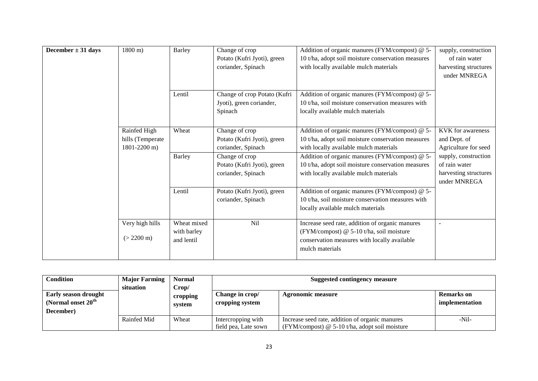| December $\pm$ 31 days | $1800 \text{ m}$ )                               | Barley                                   | Change of crop<br>Potato (Kufri Jyoti), green<br>coriander, Spinach | Addition of organic manures (FYM/compost) @ 5-<br>10 t/ha, adopt soil moisture conservation measures<br>with locally available mulch materials                 | supply, construction<br>of rain water<br>harvesting structures<br>under MNREGA |
|------------------------|--------------------------------------------------|------------------------------------------|---------------------------------------------------------------------|----------------------------------------------------------------------------------------------------------------------------------------------------------------|--------------------------------------------------------------------------------|
|                        |                                                  | Lentil                                   | Change of crop Potato (Kufri<br>Jyoti), green coriander,<br>Spinach | Addition of organic manures (FYM/compost) @ 5-<br>10 t/ha, soil moisture conservation measures with<br>locally available mulch materials                       |                                                                                |
|                        | Rainfed High<br>hills (Temperate<br>1801-2200 m) | Wheat                                    | Change of crop<br>Potato (Kufri Jyoti), green<br>coriander, Spinach | Addition of organic manures (FYM/compost) @ 5-<br>10 t/ha, adopt soil moisture conservation measures<br>with locally available mulch materials                 | <b>KVK</b> for awareness<br>and Dept. of<br>Agriculture for seed               |
|                        |                                                  | <b>Barley</b>                            | Change of crop<br>Potato (Kufri Jyoti), green<br>coriander, Spinach | Addition of organic manures (FYM/compost) @ 5-<br>10 t/ha, adopt soil moisture conservation measures<br>with locally available mulch materials                 | supply, construction<br>of rain water<br>harvesting structures<br>under MNREGA |
|                        |                                                  | Lentil                                   | Potato (Kufri Jyoti), green<br>coriander, Spinach                   | Addition of organic manures (FYM/compost) @ 5-<br>10 t/ha, soil moisture conservation measures with<br>locally available mulch materials                       |                                                                                |
|                        | Very high hills<br>$(> 2200 \text{ m})$          | Wheat mixed<br>with barley<br>and lentil | <b>Nil</b>                                                          | Increase seed rate, addition of organic manures<br>(FYM/compost) @ 5-10 t/ha, soil moisture<br>conservation measures with locally available<br>mulch materials | ÷.                                                                             |

| Condition                                                        | <b>Major Farming</b><br>situation | <b>Normal</b><br>Crop/ | Suggested contingency measure              |                                                                                                     |                              |  |
|------------------------------------------------------------------|-----------------------------------|------------------------|--------------------------------------------|-----------------------------------------------------------------------------------------------------|------------------------------|--|
| <b>Early season drought</b><br>(Normal onset $20th$<br>December) |                                   | cropping<br>system     | Change in crop/<br>cropping system         | Agronomic measure                                                                                   | Remarks on<br>implementation |  |
|                                                                  | Rainfed Mid                       | Wheat                  | Intercropping with<br>field pea, Late sown | Increase seed rate, addition of organic manures<br>(FYM/compost) $@$ 5-10 t/ha, adopt soil moisture | -Nil-                        |  |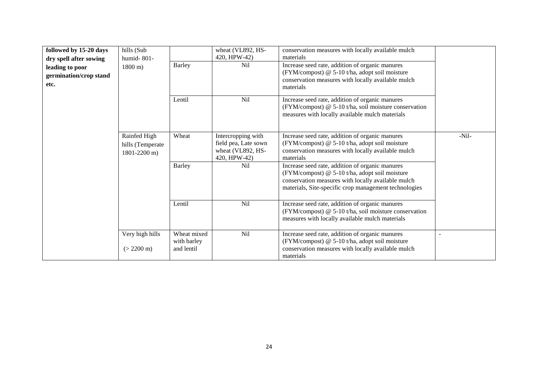| followed by 15-20 days<br>dry spell after sowing<br>leading to poor<br>germination/crop stand<br>etc. | hills (Sub<br>humid- $801-$<br>$1800 \text{ m}$ ) | <b>Barley</b>                            | wheat (VL892, HS-<br>420, HPW-42)<br>N <sub>il</sub>                            | conservation measures with locally available mulch<br>materials<br>Increase seed rate, addition of organic manures<br>(FYM/compost) @ 5-10 t/ha, adopt soil moisture<br>conservation measures with locally available mulch<br>materials |         |
|-------------------------------------------------------------------------------------------------------|---------------------------------------------------|------------------------------------------|---------------------------------------------------------------------------------|-----------------------------------------------------------------------------------------------------------------------------------------------------------------------------------------------------------------------------------------|---------|
|                                                                                                       |                                                   | Lentil                                   | <b>Nil</b>                                                                      | Increase seed rate, addition of organic manures<br>(FYM/compost) @ 5-10 t/ha, soil moisture conservation<br>measures with locally available mulch materials                                                                             |         |
|                                                                                                       | Rainfed High<br>hills (Temperate<br>1801-2200 m)  | Wheat                                    | Intercropping with<br>field pea, Late sown<br>wheat (VL892, HS-<br>420, HPW-42) | Increase seed rate, addition of organic manures<br>(FYM/compost) @ 5-10 t/ha, adopt soil moisture<br>conservation measures with locally available mulch<br>materials                                                                    | $-Nil-$ |
|                                                                                                       |                                                   | <b>Barley</b>                            | N <sub>il</sub>                                                                 | Increase seed rate, addition of organic manures<br>(FYM/compost) @ 5-10 t/ha, adopt soil moisture<br>conservation measures with locally available mulch<br>materials, Site-specific crop management technologies                        |         |
|                                                                                                       |                                                   | Lentil                                   | Nil                                                                             | Increase seed rate, addition of organic manures<br>(FYM/compost) @ 5-10 t/ha, soil moisture conservation<br>measures with locally available mulch materials                                                                             |         |
|                                                                                                       | Very high hills<br>$(> 2200 \text{ m})$           | Wheat mixed<br>with barley<br>and lentil | Nil                                                                             | Increase seed rate, addition of organic manures<br>(FYM/compost) @ 5-10 t/ha, adopt soil moisture<br>conservation measures with locally available mulch<br>materials                                                                    |         |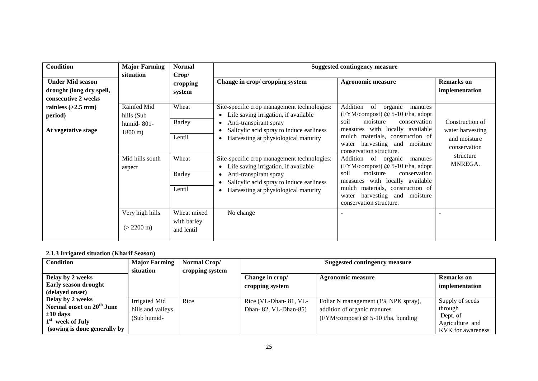| <b>Condition</b>                                                           | <b>Major Farming</b><br>situation                                | <b>Normal</b><br>Crop/                   |                                                                                                                                                                                                                                          | <b>Suggested contingency measure</b>                                                                                                                                                                                                                  |                                                                     |
|----------------------------------------------------------------------------|------------------------------------------------------------------|------------------------------------------|------------------------------------------------------------------------------------------------------------------------------------------------------------------------------------------------------------------------------------------|-------------------------------------------------------------------------------------------------------------------------------------------------------------------------------------------------------------------------------------------------------|---------------------------------------------------------------------|
| <b>Under Mid season</b><br>drought (long dry spell,<br>consecutive 2 weeks |                                                                  | cropping<br>system                       | Change in crop/ cropping system                                                                                                                                                                                                          | <b>Agronomic measure</b>                                                                                                                                                                                                                              | <b>Remarks</b> on<br>implementation                                 |
| rainless $(>2.5$ mm)<br>period)<br>At vegetative stage                     | Rainfed Mid<br>hills (Sub<br>humid- $801-$<br>$1800 \text{ m}$ ) | Wheat<br>Barley<br>Lentil                | Site-specific crop management technologies:<br>Life saving irrigation, if available<br>$\bullet$<br>Anti-transpirant spray<br>$\bullet$<br>Salicylic acid spray to induce earliness<br>Harvesting at physiological maturity<br>$\bullet$ | Addition<br>organic<br>of<br>manures<br>(FYM/compost) @ 5-10 t/ha, adopt<br>moisture<br>conservation<br>soil<br>measures with locally available<br>materials, construction of<br>mulch<br>harvesting and moisture<br>water<br>conservation structure. | Construction of<br>water harvesting<br>and moisture<br>conservation |
|                                                                            | Mid hills south<br>aspect                                        | Wheat<br><b>Barley</b><br>Lentil         | Site-specific crop management technologies:<br>Life saving irrigation, if available<br>$\bullet$<br>Anti-transpirant spray<br>$\bullet$<br>Salicylic acid spray to induce earliness<br>Harvesting at physiological maturity<br>$\bullet$ | Addition<br>of organic<br>manures<br>(FYM/compost) $@$ 5-10 t/ha, adopt<br>soil<br>moisture<br>conservation<br>measures with locally available<br>mulch materials, construction of<br>harvesting and moisture<br>water<br>conservation structure.     | structure<br>MNREGA.                                                |
|                                                                            | Very high hills<br>$(> 2200 \text{ m})$                          | Wheat mixed<br>with barley<br>and lentil | No change                                                                                                                                                                                                                                |                                                                                                                                                                                                                                                       |                                                                     |

#### **2.1.3 Irrigated situation (Kharif Season)**

| Condition                             | <b>Major Farming</b> | Normal Crop/    | <b>Suggested contingency measure</b> |                                      |                   |  |
|---------------------------------------|----------------------|-----------------|--------------------------------------|--------------------------------------|-------------------|--|
|                                       | situation            | cropping system |                                      |                                      |                   |  |
| Delay by 2 weeks                      |                      |                 | Change in crop/                      | <b>Agronomic measure</b>             | <b>Remarks</b> on |  |
| Early season drought                  |                      |                 | cropping system                      |                                      | implementation    |  |
| (delayed onset)                       |                      |                 |                                      |                                      |                   |  |
| Delay by 2 weeks                      | Irrigated Mid        | Rice            | Rice (VL-Dhan-81, VL-                | Foliar N management (1% NPK spray),  | Supply of seeds   |  |
| Normal onset on 20 <sup>th</sup> June | hills and valleys    |                 | Dhan-82, VL-Dhan-85)                 | addition of organic manures          | through           |  |
| $\pm 10$ days                         | (Sub humid-          |                 |                                      | (FYM/compost) $@$ 5-10 t/ha, bunding | Dept. of          |  |
| 1 <sup>st</sup> week of July          |                      |                 |                                      |                                      | Agriculture and   |  |
| (sowing is done generally by          |                      |                 |                                      |                                      | KVK for awareness |  |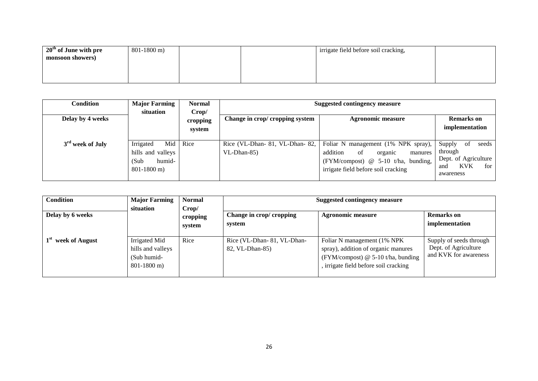| $20th$ of June with pre | $801-1800$ m) |  | irrigate field before soil cracking, |  |
|-------------------------|---------------|--|--------------------------------------|--|
| monsoon showers)        |               |  |                                      |  |
|                         |               |  |                                      |  |
|                         |               |  |                                      |  |
|                         |               |  |                                      |  |

| Condition                    | <b>Major Farming</b><br>situation                                          | Normal<br>Crop/    | Suggested contingency measure                     |                                                                                                                                                           |                                                                                                   |
|------------------------------|----------------------------------------------------------------------------|--------------------|---------------------------------------------------|-----------------------------------------------------------------------------------------------------------------------------------------------------------|---------------------------------------------------------------------------------------------------|
| Delay by 4 weeks             |                                                                            | cropping<br>system | Change in crop/ cropping system                   | <b>Agronomic measure</b>                                                                                                                                  | <b>Remarks</b> on<br>implementation                                                               |
| 3 <sup>rd</sup> week of July | Irrigated<br>Mid<br>hills and valleys<br>humid-<br>(Sub<br>$801 - 1800$ m) | Rice               | Rice (VL-Dhan- 81, VL-Dhan- 82,<br>$VL$ -Dhan-85) | Foliar N management (1% NPK spray),<br>addition<br>of<br>organic<br>manures<br>(FYM/compost) @ 5-10 t/ha, bunding,<br>irrigate field before soil cracking | Supply<br>seeds<br>of<br>through<br>Dept. of Agriculture<br><b>KVK</b><br>for<br>and<br>awareness |

| <b>Condition</b> | <b>Major Farming</b><br>situation                                  | <b>Normal</b><br>Crop/ | <b>Suggested contingency measure</b>          |                                                                                                                                                    |                                                                          |  |
|------------------|--------------------------------------------------------------------|------------------------|-----------------------------------------------|----------------------------------------------------------------------------------------------------------------------------------------------------|--------------------------------------------------------------------------|--|
| Delay by 6 weeks |                                                                    | cropping<br>system     | Change in crop/ cropping<br>system            | Agronomic measure                                                                                                                                  | <b>Remarks</b> on<br>implementation                                      |  |
| week of August   | Irrigated Mid<br>hills and valleys<br>(Sub humid-<br>$801-1800$ m) | Rice                   | Rice (VL-Dhan-81, VL-Dhan-<br>82, VL-Dhan-85) | Foliar N management (1% NPK)<br>spray), addition of organic manures<br>(FYM/compost) $@$ 5-10 t/ha, bunding<br>irrigate field before soil cracking | Supply of seeds through<br>Dept. of Agriculture<br>and KVK for awareness |  |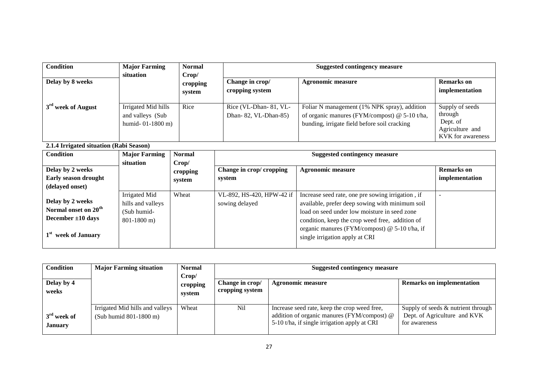| <b>Condition</b>               | <b>Major Farming</b><br>situation                              | <b>Normal</b><br>Crop/ |                                               | <b>Suggested contingency measure</b>                                                                                                            |                                                                                |
|--------------------------------|----------------------------------------------------------------|------------------------|-----------------------------------------------|-------------------------------------------------------------------------------------------------------------------------------------------------|--------------------------------------------------------------------------------|
| Delay by 8 weeks               |                                                                | cropping<br>system     | Change in crop/<br>cropping system            | Agronomic measure                                                                                                                               | Remarks on<br>implementation                                                   |
| 3 <sup>rd</sup> week of August | Irrigated Mid hills<br>and valleys (Sub<br>humid- $01-1800$ m) | Rice                   | Rice (VL-Dhan-81, VL-<br>Dhan-82, VL-Dhan-85) | Foliar N management (1% NPK spray), addition<br>of organic manures (FYM/compost) $@$ 5-10 t/ha,<br>bunding, irrigate field before soil cracking | Supply of seeds<br>through<br>Dept. of<br>Agriculture and<br>KVK for awareness |

**2.1.4 Irrigated situation (Rabi Season)**

| <b>Condition</b>                                                                                  | <b>Major Farming</b>                                               | <b>Normal</b>               |                                             | Suggested contingency measure                                                                                                                                                                                                                                                              |                                     |
|---------------------------------------------------------------------------------------------------|--------------------------------------------------------------------|-----------------------------|---------------------------------------------|--------------------------------------------------------------------------------------------------------------------------------------------------------------------------------------------------------------------------------------------------------------------------------------------|-------------------------------------|
| Delay by 2 weeks<br>Early season drought<br>(delayed onset)                                       | situation                                                          | Crop/<br>cropping<br>system | Change in crop/ cropping<br>system          | <b>Agronomic measure</b>                                                                                                                                                                                                                                                                   | <b>Remarks</b> on<br>implementation |
| Delay by 2 weeks<br>Normal onset on 20 <sup>th</sup><br>December $\pm 10$ days<br>week of January | Irrigated Mid<br>hills and valleys<br>(Sub humid-<br>$801-1800$ m) | Wheat                       | VL-892, HS-420, HPW-42 if<br>sowing delayed | Increase seed rate, one pre sowing irrigation, if<br>available, prefer deep sowing with minimum soil<br>load on seed under low moisture in seed zone<br>condition, keep the crop weed free, addition of<br>organic manures (FYM/compost) @ 5-10 t/ha, if<br>single irrigation apply at CRI |                                     |

| <b>Condition</b>         | <b>Major Farming situation</b>                            | <b>Normal</b><br>Crop/ | Suggested contingency measure |                                                                                                                                             |                                                                                     |                   |                                  |
|--------------------------|-----------------------------------------------------------|------------------------|-------------------------------|---------------------------------------------------------------------------------------------------------------------------------------------|-------------------------------------------------------------------------------------|-------------------|----------------------------------|
| Delay by 4<br>weeks      |                                                           | cropping<br>system     |                               |                                                                                                                                             | Change in crop/<br>cropping system                                                  | Agronomic measure | <b>Remarks on implementation</b> |
| $3rd$ week of<br>January | Irrigated Mid hills and valleys<br>(Sub humid 801-1800 m) | Wheat                  | N <sub>il</sub>               | Increase seed rate, keep the crop weed free,<br>addition of organic manures (FYM/compost) @<br>5-10 t/ha, if single irrigation apply at CRI | Supply of seeds & nutrient through<br>Dept. of Agriculture and KVK<br>for awareness |                   |                                  |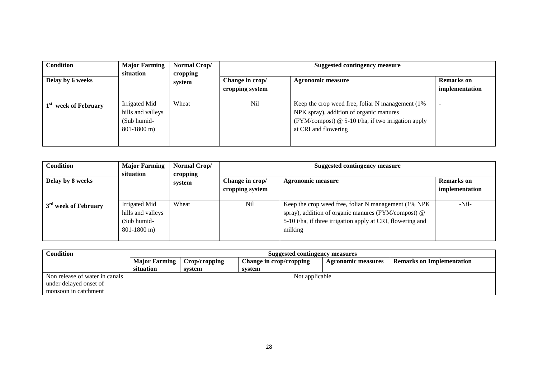| <b>Condition</b>                    | <b>Major Farming</b>                                               | Normal Crop/                       | <b>Suggested contingency measure</b> |                                                                                                                                                                              |   |  |
|-------------------------------------|--------------------------------------------------------------------|------------------------------------|--------------------------------------|------------------------------------------------------------------------------------------------------------------------------------------------------------------------------|---|--|
| Delay by 6 weeks                    | situation<br>cropping<br>system                                    | Change in crop/<br>cropping system | Agronomic measure                    | <b>Remarks</b> on<br>implementation                                                                                                                                          |   |  |
| 1 <sup>st</sup><br>week of February | Irrigated Mid<br>hills and valleys<br>(Sub humid-<br>$801-1800$ m) | Wheat                              | <b>Nil</b>                           | Keep the crop weed free, foliar N management (1%)<br>NPK spray), addition of organic manures<br>(FYM/compost) $@$ 5-10 t/ha, if two irrigation apply<br>at CRI and flowering | - |  |

| <b>Condition</b>                 | <b>Major Farming</b>                                                 | Normal Crop/       | <b>Suggested contingency measure</b> |                                                                                                                                                                                       |                              |  |
|----------------------------------|----------------------------------------------------------------------|--------------------|--------------------------------------|---------------------------------------------------------------------------------------------------------------------------------------------------------------------------------------|------------------------------|--|
| Delay by 8 weeks                 | situation                                                            | cropping<br>system | Change in crop/<br>cropping system   | Agronomic measure                                                                                                                                                                     | Remarks on<br>implementation |  |
| 3 <sup>rd</sup> week of February | Irrigated Mid<br>hills and valleys<br>(Sub humid-<br>$801 - 1800$ m) | Wheat              | Nil                                  | Keep the crop weed free, foliar N management (1% NPK)<br>spray), addition of organic manures (FYM/compost) @<br>5-10 t/ha, if three irrigation apply at CRI, flowering and<br>milking | -Nil-                        |  |

| Condition                      | Suggested contingency measures |               |                         |                           |                                  |  |  |  |
|--------------------------------|--------------------------------|---------------|-------------------------|---------------------------|----------------------------------|--|--|--|
|                                | <b>Major Farming</b>           | Crop/cropping | Change in crop/cropping | <b>Agronomic measures</b> | <b>Remarks on Implementation</b> |  |  |  |
|                                | situation                      | svstem        | svstem                  |                           |                                  |  |  |  |
| Non release of water in canals |                                |               | Not applicable          |                           |                                  |  |  |  |
| under delayed onset of         |                                |               |                         |                           |                                  |  |  |  |
| monsoon in catchment           |                                |               |                         |                           |                                  |  |  |  |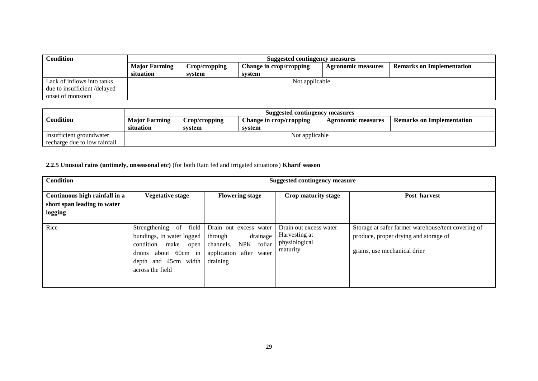| <b>Condition</b>            | <b>Suggested contingency measures</b> |               |                         |                           |                                  |  |  |  |
|-----------------------------|---------------------------------------|---------------|-------------------------|---------------------------|----------------------------------|--|--|--|
|                             | <b>Major Farming</b>                  | Crop/cropping | Change in crop/cropping | <b>Agronomic measures</b> | <b>Remarks on Implementation</b> |  |  |  |
|                             | situation                             | svstem        | svstem                  |                           |                                  |  |  |  |
| Lack of inflows into tanks  |                                       |               | Not applicable          |                           |                                  |  |  |  |
| due to insufficient/delayed |                                       |               |                         |                           |                                  |  |  |  |
| onset of monsoon            |                                       |               |                         |                           |                                  |  |  |  |

|                              | Suggested contingency measures |               |                         |                    |                                  |  |  |
|------------------------------|--------------------------------|---------------|-------------------------|--------------------|----------------------------------|--|--|
| Condition                    | <b>Major Farming</b>           | Crop/cropping | Change in crop/cropping | Agronomic measures | <b>Remarks on Implementation</b> |  |  |
|                              | situation                      | system        | system                  |                    |                                  |  |  |
| Insufficient groundwater     |                                |               | Not applicable          |                    |                                  |  |  |
| recharge due to low rainfall |                                |               |                         |                    |                                  |  |  |

# **2.2.5 Unusual rains (untimely, unseasonal etc)** (for both Rain fed and irrigated situations) **Kharif season**

| <b>Condition</b>                                                        | <b>Suggested contingency measure</b>                                                                                                                    |                                                                                                                              |                                                                      |                                                                                                                             |  |  |  |
|-------------------------------------------------------------------------|---------------------------------------------------------------------------------------------------------------------------------------------------------|------------------------------------------------------------------------------------------------------------------------------|----------------------------------------------------------------------|-----------------------------------------------------------------------------------------------------------------------------|--|--|--|
| Continuous high rainfall in a<br>short span leading to water<br>logging | <b>Vegetative stage</b>                                                                                                                                 | <b>Flowering stage</b>                                                                                                       | Crop maturity stage                                                  | Post harvest                                                                                                                |  |  |  |
| Rice                                                                    | Strengthening of field<br>bundings, In water logged<br>condition<br>make<br>open<br>about 60cm in<br>drains<br>depth and 45cm width<br>across the field | Drain out excess water<br>drainage<br>through<br>foliar<br><b>NPK</b><br>channels,<br>after water<br>application<br>draining | Drain out excess water<br>Harvesting at<br>physiological<br>maturity | Storage at safer farmer warehouse/tent covering of<br>produce, proper drying and storage of<br>grains, use mechanical drier |  |  |  |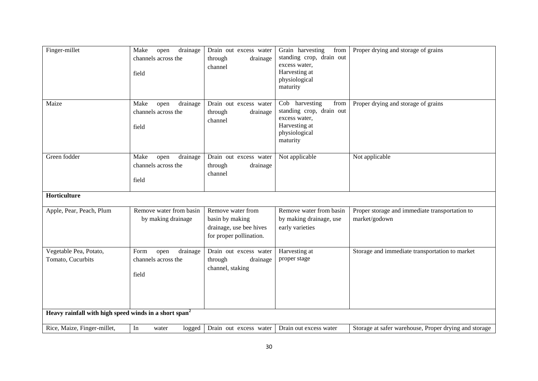| Finger-millet                                                     | Make<br>drainage<br>open<br>channels across the<br>field | Drain out excess water<br>through<br>drainage<br>channel                                   | Grain harvesting<br>from<br>standing crop, drain out<br>excess water,<br>Harvesting at<br>physiological<br>maturity | Proper drying and storage of grains                             |
|-------------------------------------------------------------------|----------------------------------------------------------|--------------------------------------------------------------------------------------------|---------------------------------------------------------------------------------------------------------------------|-----------------------------------------------------------------|
| Maize                                                             | Make<br>open<br>drainage<br>channels across the<br>field | Drain out excess water<br>through<br>drainage<br>channel                                   | Cob harvesting<br>from<br>standing crop, drain out<br>excess water,<br>Harvesting at<br>physiological<br>maturity   | Proper drying and storage of grains                             |
| Green fodder                                                      | Make<br>drainage<br>open<br>channels across the<br>field | Drain out excess water<br>drainage<br>through<br>channel                                   | Not applicable                                                                                                      | Not applicable                                                  |
| Horticulture                                                      |                                                          |                                                                                            |                                                                                                                     |                                                                 |
| Apple, Pear, Peach, Plum                                          | Remove water from basin<br>by making drainage            | Remove water from<br>basin by making<br>drainage, use bee hives<br>for proper pollination. | Remove water from basin<br>by making drainage, use<br>early varieties                                               | Proper storage and immediate transportation to<br>market/godown |
| Vegetable Pea, Potato,<br>Tomato, Cucurbits                       | drainage<br>Form<br>open<br>channels across the<br>field | Drain out excess water<br>through<br>drainage<br>channel, staking                          | Harvesting at<br>proper stage                                                                                       | Storage and immediate transportation to market                  |
| Heavy rainfall with high speed winds in a short span <sup>2</sup> |                                                          |                                                                                            |                                                                                                                     |                                                                 |
| Rice, Maize, Finger-millet,                                       | In<br>logged<br>water                                    | Drain out excess water                                                                     | Drain out excess water                                                                                              | Storage at safer warehouse, Proper drying and storage           |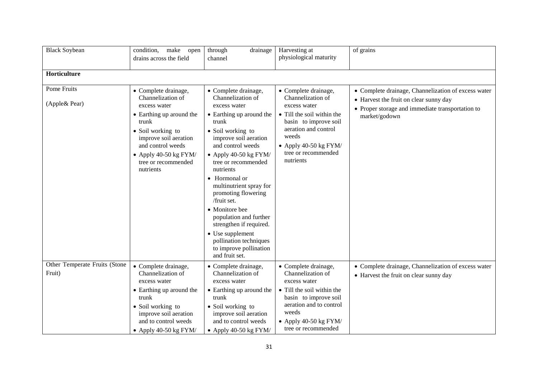| <b>Black Soybean</b>                    | make<br>condition,<br>open<br>drains across the field                                                                                                                                                                                  | through<br>drainage<br>channel                                                                                                                                                                                                                                                                                                                                                                                                                                                      | Harvesting at<br>physiological maturity                                                                                                                                                                          | of grains                                                                                                                                                          |
|-----------------------------------------|----------------------------------------------------------------------------------------------------------------------------------------------------------------------------------------------------------------------------------------|-------------------------------------------------------------------------------------------------------------------------------------------------------------------------------------------------------------------------------------------------------------------------------------------------------------------------------------------------------------------------------------------------------------------------------------------------------------------------------------|------------------------------------------------------------------------------------------------------------------------------------------------------------------------------------------------------------------|--------------------------------------------------------------------------------------------------------------------------------------------------------------------|
| Horticulture                            |                                                                                                                                                                                                                                        |                                                                                                                                                                                                                                                                                                                                                                                                                                                                                     |                                                                                                                                                                                                                  |                                                                                                                                                                    |
| Pome Fruits<br>(Apple& Pear)            | • Complete drainage,<br>Channelization of<br>excess water<br>• Earthing up around the<br>trunk<br>• Soil working to<br>improve soil aeration<br>and control weeds<br>$\bullet$ Apply 40-50 kg FYM/<br>tree or recommended<br>nutrients | • Complete drainage,<br>Channelization of<br>excess water<br>• Earthing up around the<br>trunk<br>• Soil working to<br>improve soil aeration<br>and control weeds<br>• Apply 40-50 kg $FYM/$<br>tree or recommended<br>nutrients<br>• Hormonal or<br>multinutrient spray for<br>promoting flowering<br>/fruit set.<br>• Monitore bee<br>population and further<br>strengthen if required.<br>• Use supplement<br>pollination techniques<br>to improve pollination<br>and fruit set. | • Complete drainage,<br>Channelization of<br>excess water<br>• Till the soil within the<br>basin to improve soil<br>aeration and control<br>weeds<br>• Apply 40-50 $kg$ FYM/<br>tree or recommended<br>nutrients | • Complete drainage, Channelization of excess water<br>• Harvest the fruit on clear sunny day<br>• Proper storage and immediate transportation to<br>market/godown |
| Other Temperate Fruits (Stone<br>Fruit) | • Complete drainage,<br>Channelization of<br>excess water<br>• Earthing up around the<br>trunk<br>• Soil working to<br>improve soil aeration<br>and to control weeds<br>• Apply 40-50 kg $FYM/$                                        | • Complete drainage,<br>Channelization of<br>excess water<br>• Earthing up around the<br>trunk<br>• Soil working to<br>improve soil aeration<br>and to control weeds<br>• Apply 40-50 kg $FYM/$                                                                                                                                                                                                                                                                                     | • Complete drainage,<br>Channelization of<br>excess water<br>• Till the soil within the<br>basin to improve soil<br>aeration and to control<br>weeds<br>$\bullet$ Apply 40-50 kg FYM/<br>tree or recommended     | • Complete drainage, Channelization of excess water<br>• Harvest the fruit on clear sunny day                                                                      |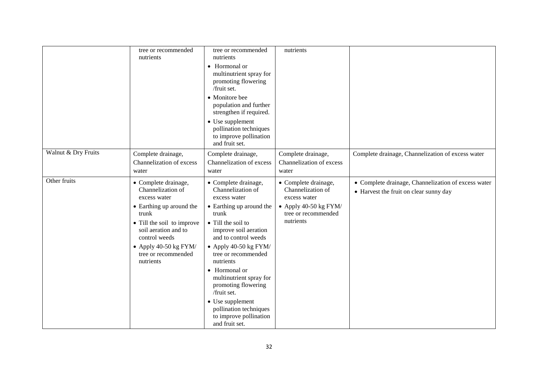|                     | tree or recommended<br>nutrients                                                                                                                                                                                                     | tree or recommended<br>nutrients<br>• Hormonal or<br>multinutrient spray for<br>promoting flowering<br>/fruit set.<br>• Monitore bee<br>population and further<br>strengthen if required.<br>• Use supplement<br>pollination techniques<br>to improve pollination<br>and fruit set.                                                                                                                              | nutrients                                                                                                                |                                                                                               |
|---------------------|--------------------------------------------------------------------------------------------------------------------------------------------------------------------------------------------------------------------------------------|------------------------------------------------------------------------------------------------------------------------------------------------------------------------------------------------------------------------------------------------------------------------------------------------------------------------------------------------------------------------------------------------------------------|--------------------------------------------------------------------------------------------------------------------------|-----------------------------------------------------------------------------------------------|
| Walnut & Dry Fruits | Complete drainage,<br>Channelization of excess<br>water                                                                                                                                                                              | Complete drainage,<br>Channelization of excess<br>water                                                                                                                                                                                                                                                                                                                                                          | Complete drainage,<br>Channelization of excess<br>water                                                                  | Complete drainage, Channelization of excess water                                             |
| Other fruits        | • Complete drainage,<br>Channelization of<br>excess water<br>• Earthing up around the<br>trunk<br>• Till the soil to improve<br>soil aeration and to<br>control weeds<br>• Apply 40-50 kg $FYM/$<br>tree or recommended<br>nutrients | • Complete drainage,<br>Channelization of<br>excess water<br>• Earthing up around the<br>trunk<br>• Till the soil to<br>improve soil aeration<br>and to control weeds<br>• Apply 40-50 kg $FYM/$<br>tree or recommended<br>nutrients<br>• Hormonal or<br>multinutrient spray for<br>promoting flowering<br>/fruit set.<br>• Use supplement<br>pollination techniques<br>to improve pollination<br>and fruit set. | • Complete drainage,<br>Channelization of<br>excess water<br>• Apply 40-50 $kg$ FYM/<br>tree or recommended<br>nutrients | • Complete drainage, Channelization of excess water<br>• Harvest the fruit on clear sunny day |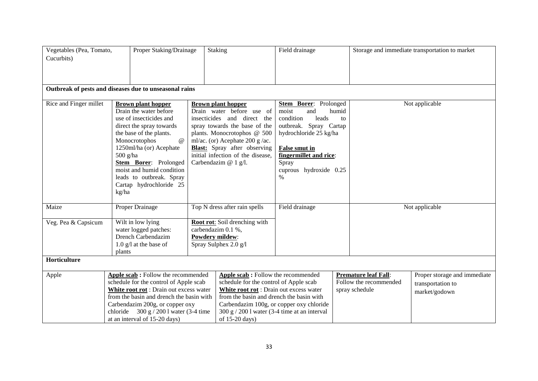| Vegetables (Pea, Tomato,<br>Cucurbits)                 |                     | Proper Staking/Drainage                                                                                                                                                                                                                                                                             | Staking                                                                                                                                                                                                                                                                                        | Field drainage                                                                                                                                                                                               |                                                                         | Storage and immediate transportation to market                     |
|--------------------------------------------------------|---------------------|-----------------------------------------------------------------------------------------------------------------------------------------------------------------------------------------------------------------------------------------------------------------------------------------------------|------------------------------------------------------------------------------------------------------------------------------------------------------------------------------------------------------------------------------------------------------------------------------------------------|--------------------------------------------------------------------------------------------------------------------------------------------------------------------------------------------------------------|-------------------------------------------------------------------------|--------------------------------------------------------------------|
|                                                        |                     |                                                                                                                                                                                                                                                                                                     |                                                                                                                                                                                                                                                                                                |                                                                                                                                                                                                              |                                                                         |                                                                    |
| Outbreak of pests and diseases due to unseasonal rains |                     |                                                                                                                                                                                                                                                                                                     |                                                                                                                                                                                                                                                                                                |                                                                                                                                                                                                              |                                                                         |                                                                    |
| Rice and Finger millet                                 | $500$ g/ha<br>kg/ha | <b>Brown plant hopper</b><br>Drain the water before<br>use of insecticides and<br>direct the spray towards<br>the base of the plants.<br>Monocrotophos<br>@<br>1250ml/ha (or) Acephate<br>Stem Borer: Prolonged<br>moist and humid condition<br>leads to outbreak. Spray<br>Cartap hydrochloride 25 | <b>Brown plant hopper</b><br>Drain water before use of<br>insecticides and direct the<br>spray towards the base of the<br>plants. Monocrotophos @ 500<br>ml/ac. (or) Acephate 200 g /ac.<br><b>Blast:</b> Spray after observing<br>initial infection of the disease,<br>Carbendazim $@$ 1 g/l. | Stem Borer: Prolonged<br>moist<br>and<br>condition<br>leads<br>outbreak. Spray Cartap<br>hydrochloride 25 kg/ha<br><b>False smut in</b><br>fingermillet and rice:<br>Spray<br>cuprous hydroxide 0.25<br>$\%$ | humid<br>to                                                             | Not applicable                                                     |
| Maize                                                  |                     | Proper Drainage                                                                                                                                                                                                                                                                                     | Top N dress after rain spells                                                                                                                                                                                                                                                                  | Field drainage                                                                                                                                                                                               |                                                                         | Not applicable                                                     |
| Veg. Pea & Capsicum                                    | plants              | Wilt in low lying<br>water logged patches:<br>Drench Carbendazim<br>$1.0$ g/l at the base of                                                                                                                                                                                                        | Root rot: Soil drenching with<br>carbendazim 0.1 %,<br>Powdery mildew:<br>Spray Sulphex 2.0 g/l                                                                                                                                                                                                |                                                                                                                                                                                                              |                                                                         |                                                                    |
| Horticulture                                           |                     |                                                                                                                                                                                                                                                                                                     |                                                                                                                                                                                                                                                                                                |                                                                                                                                                                                                              |                                                                         |                                                                    |
| Apple                                                  |                     | Apple scab: Follow the recommended<br>schedule for the control of Apple scab<br>White root rot : Drain out excess water<br>from the basin and drench the basin with<br>Carbendazim 200g, or copper oxy<br>chloride $300 g / 200 l$ water (3-4 time<br>at an interval of 15-20 days)                 | Apple scab: Follow the recommended<br>schedule for the control of Apple scab<br>White root rot : Drain out excess water<br>from the basin and drench the basin with<br>Carbendazim 100g, or copper oxy chloride<br>$300 g / 2001$ water (3-4 time at an interval<br>of 15-20 days)             |                                                                                                                                                                                                              | <b>Premature leaf Fall:</b><br>Follow the recommended<br>spray schedule | Proper storage and immediate<br>transportation to<br>market/godown |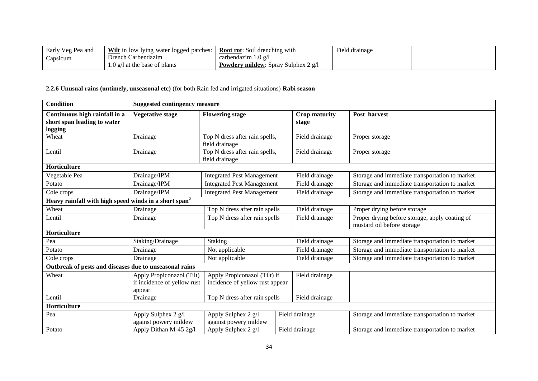| Early Veg Pea and | $\frac{1}{2}$   <u>Wilt</u> in low lying water logged patches: $\frac{1}{2}$ | <b>Root rot:</b> Soil drenching with       | $\overline{\phantom{a}}$<br>Field drainage |  |
|-------------------|------------------------------------------------------------------------------|--------------------------------------------|--------------------------------------------|--|
| Capsicum          | Drench Carbendazim                                                           | carbendazim 1.0 $\varrho$ /1               |                                            |  |
|                   | $1.0$ g/l at the base of plants                                              | <b>Powdery mildew:</b> Spray Sulphex 2 g/l |                                            |  |

# **2.2.6 Unusual rains (untimely, unseasonal etc)** (for both Rain fed and irrigated situations) **Rabi season**

| <b>Condition</b>                                                        | <b>Suggested contingency measure</b>                     |                                                  |                                                                 |                               |                                                                              |
|-------------------------------------------------------------------------|----------------------------------------------------------|--------------------------------------------------|-----------------------------------------------------------------|-------------------------------|------------------------------------------------------------------------------|
| Continuous high rainfall in a<br>short span leading to water<br>logging | <b>Vegetative stage</b>                                  | <b>Flowering stage</b>                           |                                                                 | <b>Crop maturity</b><br>stage | Post harvest                                                                 |
| Wheat                                                                   | Drainage                                                 | Top N dress after rain spells,<br>field drainage |                                                                 | Field drainage                | Proper storage                                                               |
| Lentil                                                                  | Drainage                                                 | Top N dress after rain spells,<br>field drainage |                                                                 | Field drainage                | Proper storage                                                               |
| <b>Horticulture</b>                                                     |                                                          |                                                  |                                                                 |                               |                                                                              |
| Vegetable Pea                                                           | Drainage/IPM                                             | <b>Integrated Pest Management</b>                |                                                                 | Field drainage                | Storage and immediate transportation to market                               |
| Potato                                                                  | Drainage/IPM                                             | <b>Integrated Pest Management</b>                |                                                                 | Field drainage                | Storage and immediate transportation to market                               |
| Cole crops                                                              | Drainage/IPM                                             | <b>Integrated Pest Management</b>                |                                                                 | Field drainage                | Storage and immediate transportation to market                               |
| Heavy rainfall with high speed winds in a short span <sup>2</sup>       |                                                          |                                                  |                                                                 |                               |                                                                              |
| Wheat                                                                   | Drainage                                                 |                                                  | Top N dress after rain spells                                   |                               | Proper drying before storage                                                 |
| Lentil                                                                  | Drainage                                                 | Top N dress after rain spells                    |                                                                 | Field drainage                | Proper drying before storage, apply coating of<br>mustard oil before storage |
| Horticulture                                                            |                                                          |                                                  |                                                                 |                               |                                                                              |
| Pea                                                                     | Staking/Drainage                                         | Staking                                          |                                                                 | Field drainage                | Storage and immediate transportation to market                               |
| Potato                                                                  | Drainage                                                 | Not applicable                                   |                                                                 | Field drainage                | Storage and immediate transportation to market                               |
| Cole crops                                                              | Drainage                                                 | Not applicable                                   |                                                                 | Field drainage                | Storage and immediate transportation to market                               |
| Outbreak of pests and diseases due to unseasonal rains                  |                                                          |                                                  |                                                                 |                               |                                                                              |
| Wheat                                                                   | Apply Propiconazol (Tilt)<br>if incidence of yellow rust |                                                  | Apply Propiconazol (Tilt) if<br>incidence of yellow rust appear |                               |                                                                              |
| Lentil                                                                  | appear<br>Drainage                                       | Top N dress after rain spells                    |                                                                 | Field drainage                |                                                                              |
| Horticulture                                                            |                                                          |                                                  |                                                                 |                               |                                                                              |
|                                                                         |                                                          |                                                  |                                                                 |                               |                                                                              |
| Pea                                                                     | Apply Sulphex 2 g/l<br>against powery mildew             | Apply Sulphex 2 g/l<br>against powery mildew     |                                                                 | Field drainage                | Storage and immediate transportation to market                               |
| Potato                                                                  | Apply Dithan M-45 2g/l                                   | Apply Sulphex 2 g/l                              |                                                                 | Field drainage                | Storage and immediate transportation to market                               |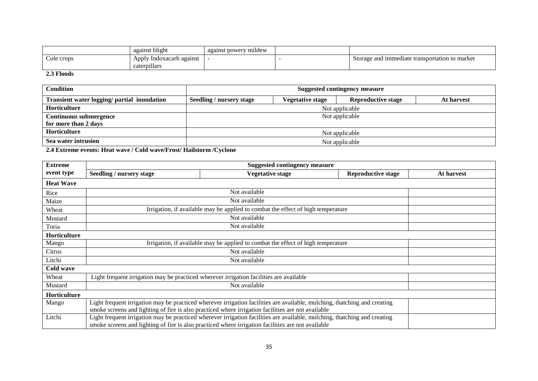|            | 1.1.<br>against blight                      | against powery mildew |                                                |
|------------|---------------------------------------------|-----------------------|------------------------------------------------|
| Cole crops | Apply<br>Indoxacarb against<br>caterpillars |                       | Storage and immediate transportation to market |

#### **2.3 Floods**

| <b>Condition</b>                            | <b>Suggested contingency measure</b>                                                                  |  |                |  |  |  |  |
|---------------------------------------------|-------------------------------------------------------------------------------------------------------|--|----------------|--|--|--|--|
| Transient water logging/ partial inundation | <b>Vegetative stage</b><br><b>Reproductive stage</b><br><b>Seedling / nursery stage</b><br>At harvest |  |                |  |  |  |  |
| Horticulture                                | Not applicable                                                                                        |  |                |  |  |  |  |
| <b>Continuous submergence</b>               | Not applicable                                                                                        |  |                |  |  |  |  |
| for more than 2 days                        |                                                                                                       |  |                |  |  |  |  |
| Horticulture                                | Not applicable                                                                                        |  |                |  |  |  |  |
| Sea water intrusion                         |                                                                                                       |  | Not applicable |  |  |  |  |

**2.4 Extreme events: Heat wave / Cold wave/Frost/ Hailstorm /Cyclone**

| <b>Extreme</b>      | <b>Suggested contingency measure</b>                                                    |                                                                                                                                                                                                                                 |                           |                   |  |
|---------------------|-----------------------------------------------------------------------------------------|---------------------------------------------------------------------------------------------------------------------------------------------------------------------------------------------------------------------------------|---------------------------|-------------------|--|
| event type          | Seedling / nursery stage                                                                | Vegetative stage                                                                                                                                                                                                                | <b>Reproductive stage</b> | <b>At harvest</b> |  |
| <b>Heat Wave</b>    |                                                                                         |                                                                                                                                                                                                                                 |                           |                   |  |
| Rice                |                                                                                         | Not available                                                                                                                                                                                                                   |                           |                   |  |
| Maize               |                                                                                         | Not available                                                                                                                                                                                                                   |                           |                   |  |
| Wheat               | Irrigation, if available may be applied to combat the effect of high temperature        |                                                                                                                                                                                                                                 |                           |                   |  |
| Mustard             | Not available                                                                           |                                                                                                                                                                                                                                 |                           |                   |  |
| Toria               | Not available                                                                           |                                                                                                                                                                                                                                 |                           |                   |  |
| <b>Horticulture</b> |                                                                                         |                                                                                                                                                                                                                                 |                           |                   |  |
| Mango               | Irrigation, if available may be applied to combat the effect of high temperature        |                                                                                                                                                                                                                                 |                           |                   |  |
| Citrus              | Not available                                                                           |                                                                                                                                                                                                                                 |                           |                   |  |
| Litchi              | Not available                                                                           |                                                                                                                                                                                                                                 |                           |                   |  |
| Cold wave           |                                                                                         |                                                                                                                                                                                                                                 |                           |                   |  |
| Wheat               | Light frequent irrigation may be practiced wherever irrigation facilities are available |                                                                                                                                                                                                                                 |                           |                   |  |
| Mustard             | Not available                                                                           |                                                                                                                                                                                                                                 |                           |                   |  |
| Horticulture        |                                                                                         |                                                                                                                                                                                                                                 |                           |                   |  |
| Mango               |                                                                                         | Light frequent irrigation may be practiced wherever irrigation facilities are available, mulching, thatching and creating<br>smoke screens and lighting of fire is also practiced where irrigation facilities are not available |                           |                   |  |
| Litchi              |                                                                                         | Light frequent irrigation may be practiced wherever irrigation facilities are available, mulching, thatching and creating<br>smoke screens and lighting of fire is also practiced where irrigation facilities are not available |                           |                   |  |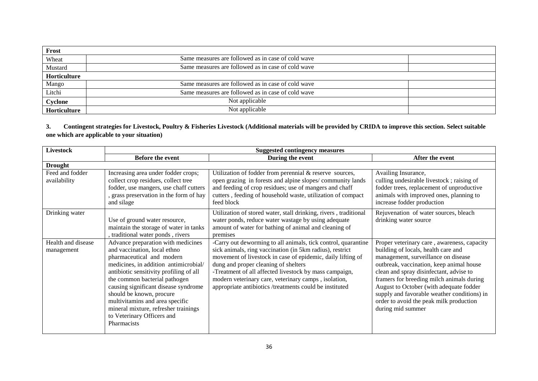| Frost        |                                                    |  |
|--------------|----------------------------------------------------|--|
| Wheat        | Same measures are followed as in case of cold wave |  |
| Mustard      | Same measures are followed as in case of cold wave |  |
| Horticulture |                                                    |  |
| Mango        | Same measures are followed as in case of cold wave |  |
| Litchi       | Same measures are followed as in case of cold wave |  |
| Cyclone      | Not applicable                                     |  |
| Horticulture | Not applicable                                     |  |

**3. Contingent strategies for Livestock, Poultry & Fisheries Livestock (Additional materials will be provided by CRIDA to improve this section. Select suitable one which are applicable to your situation)**

| <b>Livestock</b>                 | <b>Suggested contingency measures</b>                                                                                                                                                                                                                                                                                                                                                                            |                                                                                                                                                                                                                                                                                                                                                                                                               |                                                                                                                                                                                                                                                                                                                                                                                                                         |
|----------------------------------|------------------------------------------------------------------------------------------------------------------------------------------------------------------------------------------------------------------------------------------------------------------------------------------------------------------------------------------------------------------------------------------------------------------|---------------------------------------------------------------------------------------------------------------------------------------------------------------------------------------------------------------------------------------------------------------------------------------------------------------------------------------------------------------------------------------------------------------|-------------------------------------------------------------------------------------------------------------------------------------------------------------------------------------------------------------------------------------------------------------------------------------------------------------------------------------------------------------------------------------------------------------------------|
|                                  | <b>Before the event</b>                                                                                                                                                                                                                                                                                                                                                                                          | During the event                                                                                                                                                                                                                                                                                                                                                                                              | After the event                                                                                                                                                                                                                                                                                                                                                                                                         |
| <b>Drought</b>                   |                                                                                                                                                                                                                                                                                                                                                                                                                  |                                                                                                                                                                                                                                                                                                                                                                                                               |                                                                                                                                                                                                                                                                                                                                                                                                                         |
| Feed and fodder<br>availability  | Increasing area under fodder crops;<br>collect crop residues, collect tree<br>fodder, use mangers, use chaff cutters<br>, grass preservation in the form of hay<br>and silage                                                                                                                                                                                                                                    | Utilization of fodder from perennial & reserve sources,<br>open grazing in forests and alpine slopes/community lands<br>and feeding of crop residues; use of mangers and chaff<br>cutters, feeding of household waste, utilization of compact<br>feed block                                                                                                                                                   | Availing Insurance,<br>culling undesirable livestock; raising of<br>fodder trees, replacement of unproductive<br>animals with improved ones, planning to<br>increase fodder production                                                                                                                                                                                                                                  |
| Drinking water                   | Use of ground water resource,<br>maintain the storage of water in tanks<br>traditional water ponds, rivers                                                                                                                                                                                                                                                                                                       | Utilization of stored water, stall drinking, rivers, traditional<br>water ponds, reduce water wastage by using adequate<br>amount of water for bathing of animal and cleaning of<br>premises                                                                                                                                                                                                                  | Rejuvenation of water sources, bleach<br>drinking water source                                                                                                                                                                                                                                                                                                                                                          |
| Health and disease<br>management | Advance preparation with medicines<br>and vaccination, local ethno<br>pharmaceutical and modern<br>medicines, in addition antimicrobial/<br>antibiotic sensitivity profiling of all<br>the common bacterial pathogen<br>causing significant disease syndrome<br>should be known, procure<br>multivitamins and area specific<br>mineral mixture, refresher trainings<br>to Veterinary Officers and<br>Pharmacists | -Carry out deworming to all animals, tick control, quarantine<br>sick animals, ring vaccination (in 5km radius), restrict<br>movement of livestock in case of epidemic, daily lifting of<br>dung and proper cleaning of shelters<br>-Treatment of all affected livestock by mass campaign,<br>modern veterinary care, veterinary camps, isolation,<br>appropriate antibiotics /treatments could be instituted | Proper veterinary care, awareness, capacity<br>building of locals, health care and<br>management, surveillance on disease<br>outbreak, vaccination, keep animal house<br>clean and spray disinfectant, advise to<br>framers for breeding milch animals during<br>August to October (with adequate fodder<br>supply and favorable weather conditions) in<br>order to avoid the peak milk production<br>during mid summer |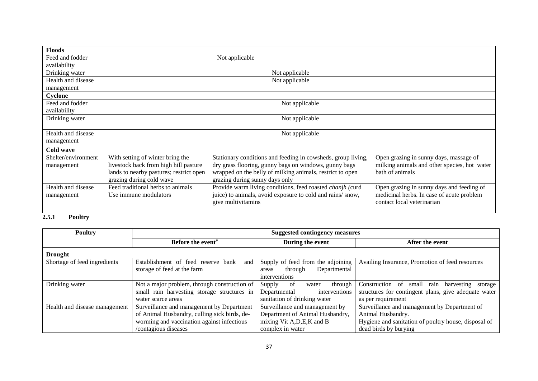| <b>Floods</b>       |                                                                                                                         |                                                              |                                              |  |
|---------------------|-------------------------------------------------------------------------------------------------------------------------|--------------------------------------------------------------|----------------------------------------------|--|
| Feed and fodder     | Not applicable                                                                                                          |                                                              |                                              |  |
| availability        |                                                                                                                         |                                                              |                                              |  |
| Drinking water      | Not applicable                                                                                                          |                                                              |                                              |  |
| Health and disease  |                                                                                                                         | Not applicable                                               |                                              |  |
| management          |                                                                                                                         |                                                              |                                              |  |
| Cyclone             |                                                                                                                         |                                                              |                                              |  |
| Feed and fodder     |                                                                                                                         | Not applicable                                               |                                              |  |
| availability        |                                                                                                                         |                                                              |                                              |  |
| Drinking water      | Not applicable                                                                                                          |                                                              |                                              |  |
|                     |                                                                                                                         |                                                              |                                              |  |
| Health and disease  | Not applicable                                                                                                          |                                                              |                                              |  |
| management          |                                                                                                                         |                                                              |                                              |  |
| Cold wave           |                                                                                                                         |                                                              |                                              |  |
| Shelter/environment | With setting of winter bring the                                                                                        | Stationary conditions and feeding in cowsheds, group living, | Open grazing in sunny days, massage of       |  |
| management          | livestock back from high hill pasture                                                                                   | dry grass flooring, gunny bags on windows, gunny bags        | milking animals and other species, hot water |  |
|                     | lands to nearby pastures; restrict open<br>wrapped on the belly of milking animals, restrict to open<br>bath of animals |                                                              |                                              |  |
|                     | grazing during cold wave<br>grazing during sunny days only                                                              |                                                              |                                              |  |
| Health and disease  | Feed traditional herbs to animals                                                                                       | Provide warm living conditions, feed roasted chanjh (curd    | Open grazing in sunny days and feeding of    |  |
| management          | juice) to animals, avoid exposure to cold and rains/snow,<br>Use immune modulators                                      |                                                              | medicinal herbs. In case of acute problem    |  |
|                     |                                                                                                                         | give multivitamins                                           | contact local veterinarian                   |  |
|                     |                                                                                                                         |                                                              |                                              |  |

# **2.5.1 Poultry**

| <b>Poultry</b>                | <b>Suggested contingency measures</b>                                                                                                                           |                                                                                                                      |                                                                                                                                                    |
|-------------------------------|-----------------------------------------------------------------------------------------------------------------------------------------------------------------|----------------------------------------------------------------------------------------------------------------------|----------------------------------------------------------------------------------------------------------------------------------------------------|
|                               | Before the event <sup>a</sup>                                                                                                                                   | During the event                                                                                                     | After the event                                                                                                                                    |
| <b>Drought</b>                |                                                                                                                                                                 |                                                                                                                      |                                                                                                                                                    |
| Shortage of feed ingredients  | Establishment of feed reserve bank<br>and<br>storage of feed at the farm                                                                                        | Supply of feed from the adjoining<br>Departmental<br>through<br>areas<br>interventions                               | Availing Insurance, Promotion of feed resources                                                                                                    |
| Drinking water                | Not a major problem, through construction of<br>small rain harvesting storage structures in<br>water scarce areas                                               | -of<br>Supply<br>through<br>water<br>interventions<br>Departmental<br>sanitation of drinking water                   | Construction of<br>harvesting<br>small<br>storage<br>rain<br>structures for contingent plans, give adequate water<br>as per requirement            |
| Health and disease management | Surveillance and management by Department<br>of Animal Husbandry, culling sick birds, de-<br>worming and vaccination against infectious<br>/contagious diseases | Surveillance and management by<br>Department of Animal Husbandry,<br>mixing Vit A, D, E, K and B<br>complex in water | Surveillance and management by Department of<br>Animal Husbandry.<br>Hygiene and sanitation of poultry house, disposal of<br>dead birds by burying |